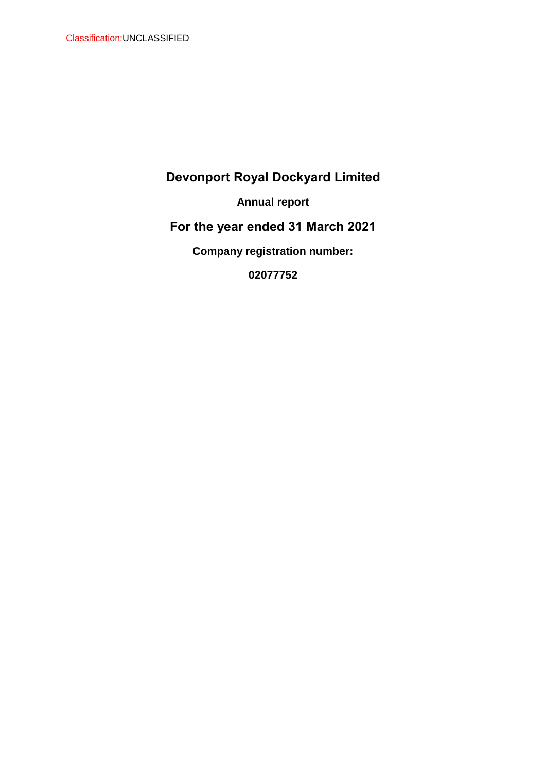**Annual report**

**For the year ended 31 March 2021**

**Company registration number:** 

**02077752**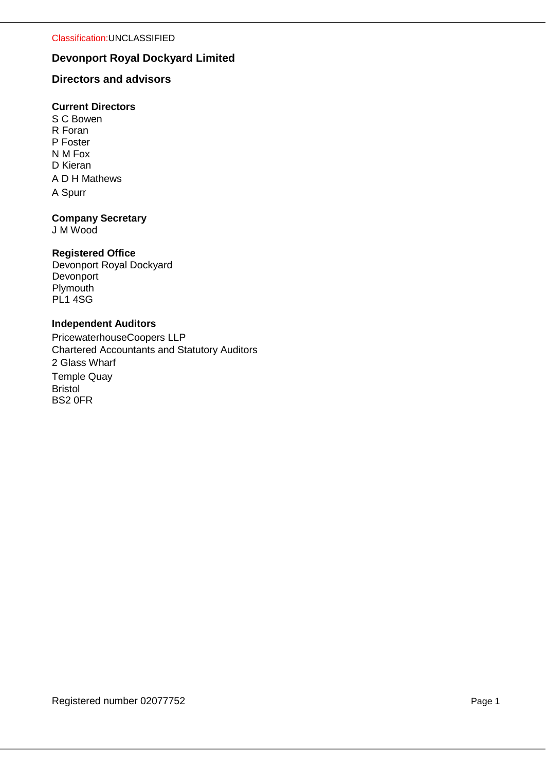# **Directors and advisors**

# **Current Directors**

A D H Mathews A Spurr S C Bowen R Foran P Foster N M Fox D Kieran

## **Company Secretary**

J M Wood

## **Registered Office**

Devonport Royal Dockyard Devonport **Plymouth** PL<sub>1</sub> 4SG

## **Independent Auditors**

PricewaterhouseCoopers LLP Chartered Accountants and Statutory Auditors 2 Glass Wharf Temple Quay Bristol BS2 0FR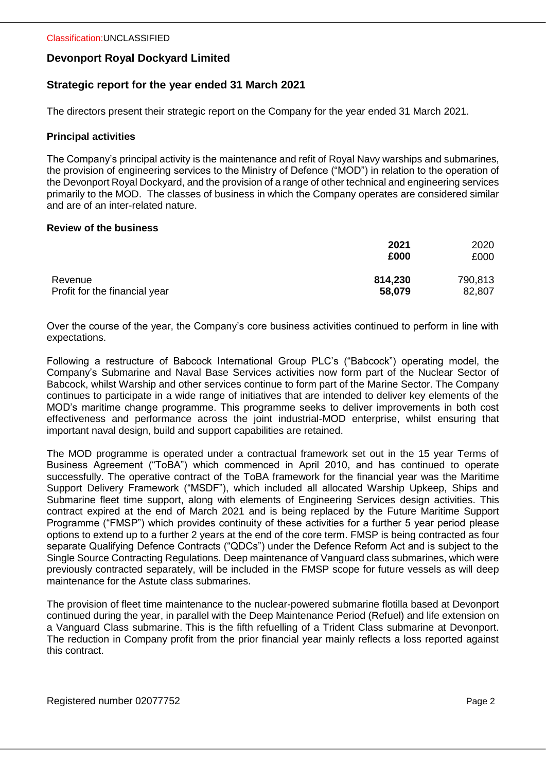## **Strategic report for the year ended 31 March 2021**

The directors present their strategic report on the Company for the year ended 31 March 2021.

#### **Principal activities**

The Company's principal activity is the maintenance and refit of Royal Navy warships and submarines, the provision of engineering services to the Ministry of Defence ("MOD") in relation to the operation of the Devonport Royal Dockyard, and the provision of a range of other technical and engineering services primarily to the MOD. The classes of business in which the Company operates are considered similar and are of an inter-related nature.

#### **Review of the business**

|                               | 2021<br>£000 | 2020<br>£000 |
|-------------------------------|--------------|--------------|
| Revenue                       | 814,230      | 790,813      |
| Profit for the financial year | 58,079       | 82,807       |

Over the course of the year, the Company's core business activities continued to perform in line with expectations.

Following a restructure of Babcock International Group PLC's ("Babcock") operating model, the Company's Submarine and Naval Base Services activities now form part of the Nuclear Sector of Babcock, whilst Warship and other services continue to form part of the Marine Sector. The Company continues to participate in a wide range of initiatives that are intended to deliver key elements of the MOD's maritime change programme. This programme seeks to deliver improvements in both cost effectiveness and performance across the joint industrial-MOD enterprise, whilst ensuring that important naval design, build and support capabilities are retained.

The MOD programme is operated under a contractual framework set out in the 15 year Terms of Business Agreement ("ToBA") which commenced in April 2010, and has continued to operate successfully. The operative contract of the ToBA framework for the financial year was the Maritime Support Delivery Framework ("MSDF"), which included all allocated Warship Upkeep, Ships and Submarine fleet time support, along with elements of Engineering Services design activities. This contract expired at the end of March 2021 and is being replaced by the Future Maritime Support Programme ("FMSP") which provides continuity of these activities for a further 5 year period please options to extend up to a further 2 years at the end of the core term. FMSP is being contracted as four separate Qualifying Defence Contracts ("QDCs") under the Defence Reform Act and is subject to the Single Source Contracting Regulations. Deep maintenance of Vanguard class submarines, which were previously contracted separately, will be included in the FMSP scope for future vessels as will deep maintenance for the Astute class submarines.

The provision of fleet time maintenance to the nuclear-powered submarine flotilla based at Devonport continued during the year, in parallel with the Deep Maintenance Period (Refuel) and life extension on a Vanguard Class submarine. This is the fifth refuelling of a Trident Class submarine at Devonport. The reduction in Company profit from the prior financial year mainly reflects a loss reported against this contract.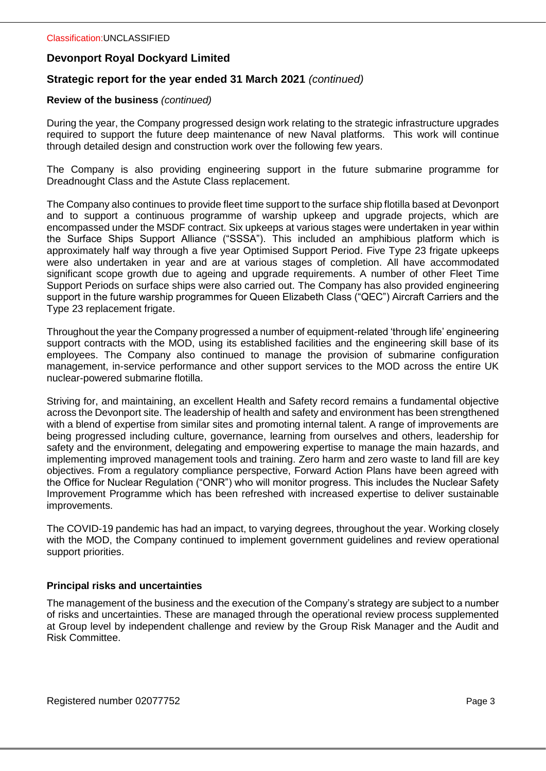## **Strategic report for the year ended 31 March 2021** *(continued)*

#### **Review of the business** *(continued)*

During the year, the Company progressed design work relating to the strategic infrastructure upgrades required to support the future deep maintenance of new Naval platforms. This work will continue through detailed design and construction work over the following few years.

The Company is also providing engineering support in the future submarine programme for Dreadnought Class and the Astute Class replacement.

The Company also continues to provide fleet time support to the surface ship flotilla based at Devonport and to support a continuous programme of warship upkeep and upgrade projects, which are encompassed under the MSDF contract. Six upkeeps at various stages were undertaken in year within the Surface Ships Support Alliance ("SSSA"). This included an amphibious platform which is approximately half way through a five year Optimised Support Period. Five Type 23 frigate upkeeps were also undertaken in year and are at various stages of completion. All have accommodated significant scope growth due to ageing and upgrade requirements. A number of other Fleet Time Support Periods on surface ships were also carried out. The Company has also provided engineering support in the future warship programmes for Queen Elizabeth Class ("QEC") Aircraft Carriers and the Type 23 replacement frigate.

Throughout the year the Company progressed a number of equipment-related 'through life' engineering support contracts with the MOD, using its established facilities and the engineering skill base of its employees. The Company also continued to manage the provision of submarine configuration management, in-service performance and other support services to the MOD across the entire UK nuclear-powered submarine flotilla.

Striving for, and maintaining, an excellent Health and Safety record remains a fundamental objective across the Devonport site. The leadership of health and safety and environment has been strengthened with a blend of expertise from similar sites and promoting internal talent. A range of improvements are being progressed including culture, governance, learning from ourselves and others, leadership for safety and the environment, delegating and empowering expertise to manage the main hazards, and implementing improved management tools and training. Zero harm and zero waste to land fill are key objectives. From a regulatory compliance perspective, Forward Action Plans have been agreed with the Office for Nuclear Regulation ("ONR") who will monitor progress. This includes the Nuclear Safety Improvement Programme which has been refreshed with increased expertise to deliver sustainable improvements.

The COVID-19 pandemic has had an impact, to varying degrees, throughout the year. Working closely with the MOD, the Company continued to implement government guidelines and review operational support priorities.

#### **Principal risks and uncertainties**

The management of the business and the execution of the Company's strategy are subject to a number of risks and uncertainties. These are managed through the operational review process supplemented at Group level by independent challenge and review by the Group Risk Manager and the Audit and Risk Committee.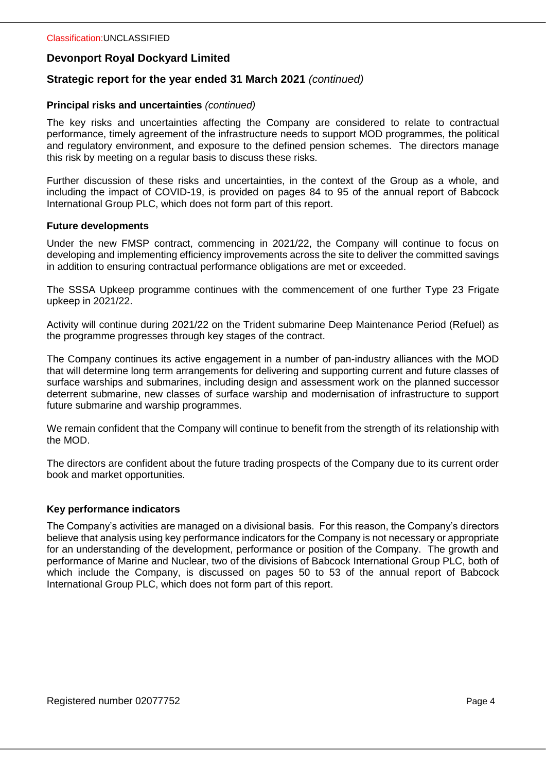## **Strategic report for the year ended 31 March 2021** *(continued)*

#### **Principal risks and uncertainties** *(continued)*

The key risks and uncertainties affecting the Company are considered to relate to contractual performance, timely agreement of the infrastructure needs to support MOD programmes, the political and regulatory environment, and exposure to the defined pension schemes. The directors manage this risk by meeting on a regular basis to discuss these risks.

Further discussion of these risks and uncertainties, in the context of the Group as a whole, and including the impact of COVID-19, is provided on pages 84 to 95 of the annual report of Babcock International Group PLC, which does not form part of this report.

#### **Future developments**

Under the new FMSP contract, commencing in 2021/22, the Company will continue to focus on developing and implementing efficiency improvements across the site to deliver the committed savings in addition to ensuring contractual performance obligations are met or exceeded.

The SSSA Upkeep programme continues with the commencement of one further Type 23 Frigate upkeep in 2021/22.

Activity will continue during 2021/22 on the Trident submarine Deep Maintenance Period (Refuel) as the programme progresses through key stages of the contract.

The Company continues its active engagement in a number of pan-industry alliances with the MOD that will determine long term arrangements for delivering and supporting current and future classes of surface warships and submarines, including design and assessment work on the planned successor deterrent submarine, new classes of surface warship and modernisation of infrastructure to support future submarine and warship programmes.

We remain confident that the Company will continue to benefit from the strength of its relationship with the MOD.

The directors are confident about the future trading prospects of the Company due to its current order book and market opportunities.

#### **Key performance indicators**

The Company's activities are managed on a divisional basis. For this reason, the Company's directors believe that analysis using key performance indicators for the Company is not necessary or appropriate for an understanding of the development, performance or position of the Company. The growth and performance of Marine and Nuclear, two of the divisions of Babcock International Group PLC, both of which include the Company, is discussed on pages 50 to 53 of the annual report of Babcock International Group PLC, which does not form part of this report.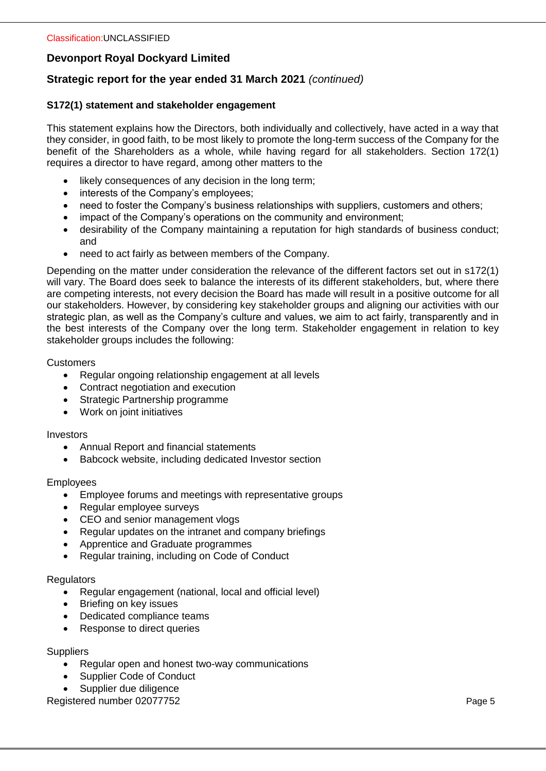# **Strategic report for the year ended 31 March 2021** *(continued)*

## **S172(1) statement and stakeholder engagement**

This statement explains how the Directors, both individually and collectively, have acted in a way that they consider, in good faith, to be most likely to promote the long-term success of the Company for the benefit of the Shareholders as a whole, while having regard for all stakeholders. Section 172(1) requires a director to have regard, among other matters to the

- likely consequences of any decision in the long term;
- interests of the Company's employees;
- need to foster the Company's business relationships with suppliers, customers and others;
- impact of the Company's operations on the community and environment;
- desirability of the Company maintaining a reputation for high standards of business conduct; and
- need to act fairly as between members of the Company.

Depending on the matter under consideration the relevance of the different factors set out in s172(1) will vary. The Board does seek to balance the interests of its different stakeholders, but, where there are competing interests, not every decision the Board has made will result in a positive outcome for all our stakeholders. However, by considering key stakeholder groups and aligning our activities with our strategic plan, as well as the Company's culture and values, we aim to act fairly, transparently and in the best interests of the Company over the long term. Stakeholder engagement in relation to key stakeholder groups includes the following:

#### **Customers**

- Regular ongoing relationship engagement at all levels
- Contract negotiation and execution
- Strategic Partnership programme
- Work on joint initiatives

#### Investors

- Annual Report and financial statements
- Babcock website, including dedicated Investor section

#### Employees

- Employee forums and meetings with representative groups
- Regular employee surveys
- CEO and senior management vlogs
- Regular updates on the intranet and company briefings
- Apprentice and Graduate programmes
- Regular training, including on Code of Conduct

#### **Regulators**

- Regular engagement (national, local and official level)
- Briefing on key issues
- Dedicated compliance teams
- Response to direct queries

#### **Suppliers**

- Regular open and honest two-way communications
- Supplier Code of Conduct
- Supplier due diligence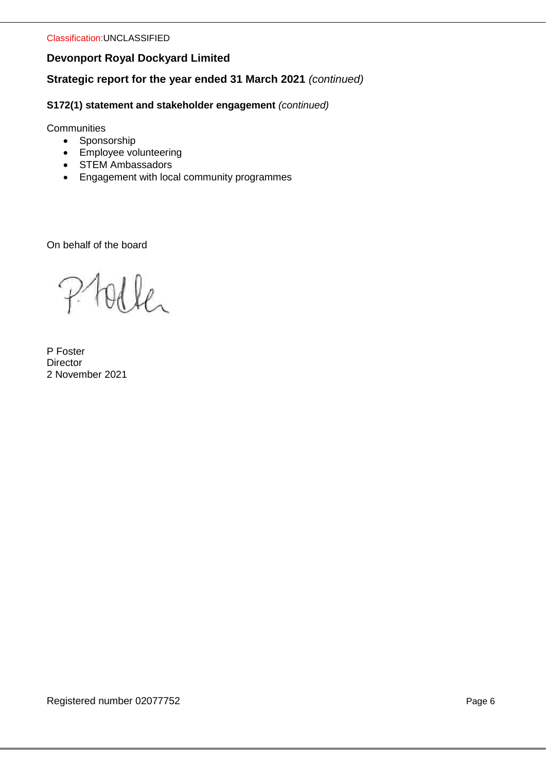**Strategic report for the year ended 31 March 2021** *(continued)*

**S172(1) statement and stakeholder engagement** *(continued)*

**Communities** 

- Sponsorship
- Employee volunteering
- STEM Ambassadors
- Engagement with local community programmes

On behalf of the board

olle

P Foster **Director** 2 November 2021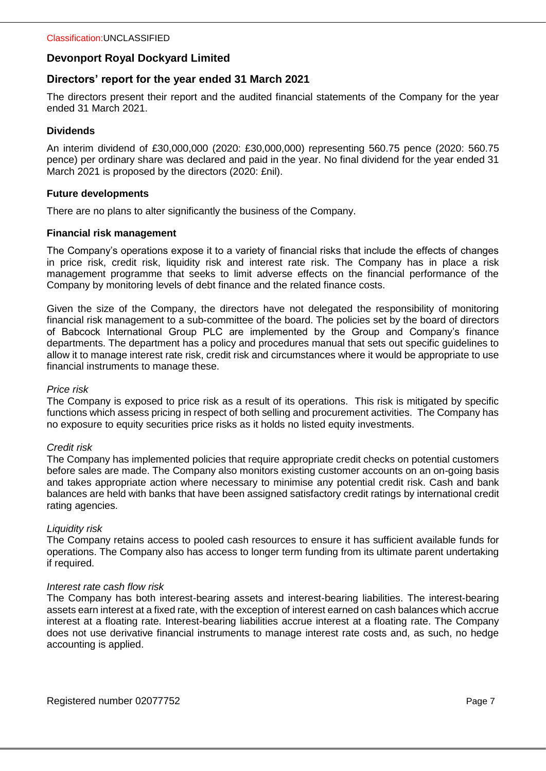## **Directors' report for the year ended 31 March 2021**

The directors present their report and the audited financial statements of the Company for the year ended 31 March 2021.

## **Dividends**

An interim dividend of £30,000,000 (2020: £30,000,000) representing 560.75 pence (2020: 560.75 pence) per ordinary share was declared and paid in the year. No final dividend for the year ended 31 March 2021 is proposed by the directors (2020: £nil).

#### **Future developments**

There are no plans to alter significantly the business of the Company.

## **Financial risk management**

The Company's operations expose it to a variety of financial risks that include the effects of changes in price risk, credit risk, liquidity risk and interest rate risk. The Company has in place a risk management programme that seeks to limit adverse effects on the financial performance of the Company by monitoring levels of debt finance and the related finance costs.

Given the size of the Company, the directors have not delegated the responsibility of monitoring financial risk management to a sub-committee of the board. The policies set by the board of directors of Babcock International Group PLC are implemented by the Group and Company's finance departments. The department has a policy and procedures manual that sets out specific guidelines to allow it to manage interest rate risk, credit risk and circumstances where it would be appropriate to use financial instruments to manage these.

#### *Price risk*

The Company is exposed to price risk as a result of its operations. This risk is mitigated by specific functions which assess pricing in respect of both selling and procurement activities. The Company has no exposure to equity securities price risks as it holds no listed equity investments.

#### *Credit risk*

The Company has implemented policies that require appropriate credit checks on potential customers before sales are made. The Company also monitors existing customer accounts on an on-going basis and takes appropriate action where necessary to minimise any potential credit risk. Cash and bank balances are held with banks that have been assigned satisfactory credit ratings by international credit rating agencies.

#### *Liquidity risk*

The Company retains access to pooled cash resources to ensure it has sufficient available funds for operations. The Company also has access to longer term funding from its ultimate parent undertaking if required.

#### *Interest rate cash flow risk*

The Company has both interest-bearing assets and interest-bearing liabilities. The interest-bearing assets earn interest at a fixed rate, with the exception of interest earned on cash balances which accrue interest at a floating rate. Interest-bearing liabilities accrue interest at a floating rate. The Company does not use derivative financial instruments to manage interest rate costs and, as such, no hedge accounting is applied.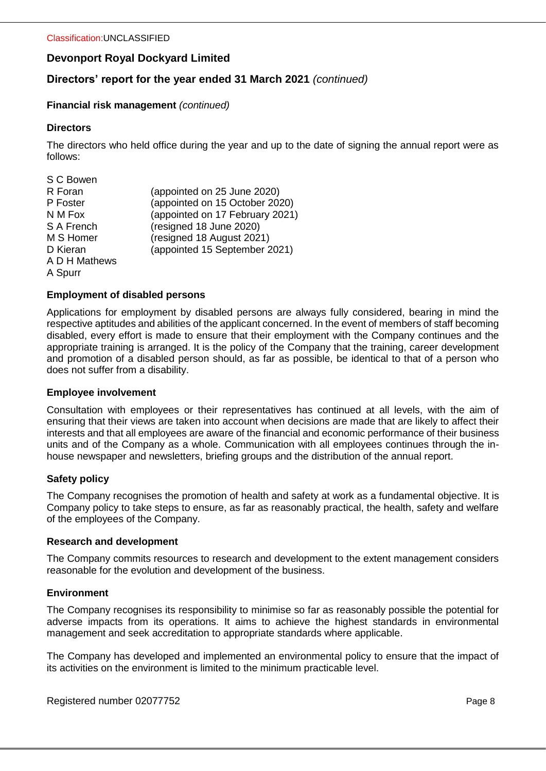# **Directors' report for the year ended 31 March 2021** *(continued)*

#### **Financial risk management** *(continued)*

#### **Directors**

The directors who held office during the year and up to the date of signing the annual report were as follows:

| S C Bowen     |                                 |
|---------------|---------------------------------|
| R Foran       | (appointed on 25 June 2020)     |
| P Foster      | (appointed on 15 October 2020)  |
| N M Fox       | (appointed on 17 February 2021) |
| S A French    | (resigned 18 June 2020)         |
| M S Homer     | (resigned 18 August 2021)       |
| D Kieran      | (appointed 15 September 2021)   |
| A D H Mathews |                                 |
| A Spurr       |                                 |

#### **Employment of disabled persons**

Applications for employment by disabled persons are always fully considered, bearing in mind the respective aptitudes and abilities of the applicant concerned. In the event of members of staff becoming disabled, every effort is made to ensure that their employment with the Company continues and the appropriate training is arranged. It is the policy of the Company that the training, career development and promotion of a disabled person should, as far as possible, be identical to that of a person who does not suffer from a disability.

#### **Employee involvement**

Consultation with employees or their representatives has continued at all levels, with the aim of ensuring that their views are taken into account when decisions are made that are likely to affect their interests and that all employees are aware of the financial and economic performance of their business units and of the Company as a whole. Communication with all employees continues through the inhouse newspaper and newsletters, briefing groups and the distribution of the annual report.

#### **Safety policy**

The Company recognises the promotion of health and safety at work as a fundamental objective. It is Company policy to take steps to ensure, as far as reasonably practical, the health, safety and welfare of the employees of the Company.

#### **Research and development**

The Company commits resources to research and development to the extent management considers reasonable for the evolution and development of the business.

#### **Environment**

The Company recognises its responsibility to minimise so far as reasonably possible the potential for adverse impacts from its operations. It aims to achieve the highest standards in environmental management and seek accreditation to appropriate standards where applicable.

The Company has developed and implemented an environmental policy to ensure that the impact of its activities on the environment is limited to the minimum practicable level.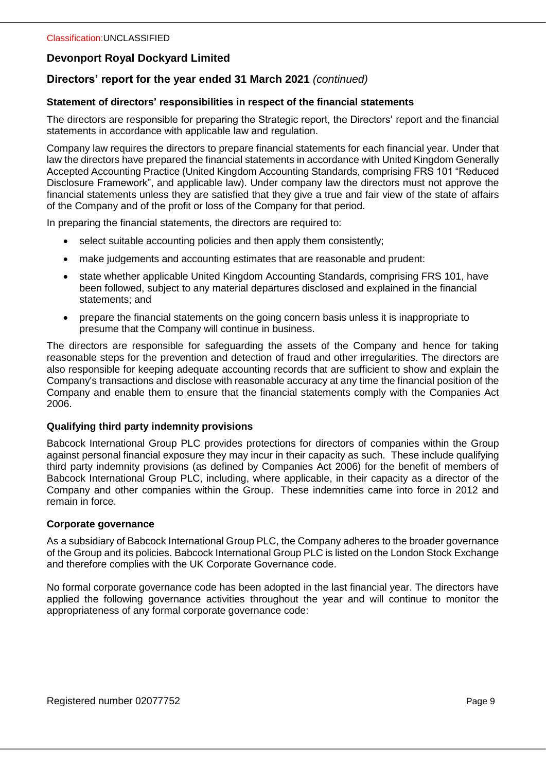# **Directors' report for the year ended 31 March 2021** *(continued)*

#### **Statement of directors' responsibilities in respect of the financial statements**

The directors are responsible for preparing the Strategic report, the Directors' report and the financial statements in accordance with applicable law and regulation.

Company law requires the directors to prepare financial statements for each financial year. Under that law the directors have prepared the financial statements in accordance with United Kingdom Generally Accepted Accounting Practice (United Kingdom Accounting Standards, comprising FRS 101 "Reduced Disclosure Framework", and applicable law). Under company law the directors must not approve the financial statements unless they are satisfied that they give a true and fair view of the state of affairs of the Company and of the profit or loss of the Company for that period.

In preparing the financial statements, the directors are required to:

- select suitable accounting policies and then apply them consistently;
- make judgements and accounting estimates that are reasonable and prudent:
- state whether applicable United Kingdom Accounting Standards, comprising FRS 101, have been followed, subject to any material departures disclosed and explained in the financial statements; and
- prepare the financial statements on the going concern basis unless it is inappropriate to presume that the Company will continue in business.

The directors are responsible for safeguarding the assets of the Company and hence for taking reasonable steps for the prevention and detection of fraud and other irregularities. The directors are also responsible for keeping adequate accounting records that are sufficient to show and explain the Company's transactions and disclose with reasonable accuracy at any time the financial position of the Company and enable them to ensure that the financial statements comply with the Companies Act 2006.

#### **Qualifying third party indemnity provisions**

Babcock International Group PLC provides protections for directors of companies within the Group against personal financial exposure they may incur in their capacity as such. These include qualifying third party indemnity provisions (as defined by Companies Act 2006) for the benefit of members of Babcock International Group PLC, including, where applicable, in their capacity as a director of the Company and other companies within the Group. These indemnities came into force in 2012 and remain in force.

#### **Corporate governance**

As a subsidiary of Babcock International Group PLC, the Company adheres to the broader governance of the Group and its policies. Babcock International Group PLC is listed on the London Stock Exchange and therefore complies with the UK Corporate Governance code.

No formal corporate governance code has been adopted in the last financial year. The directors have applied the following governance activities throughout the year and will continue to monitor the appropriateness of any formal corporate governance code: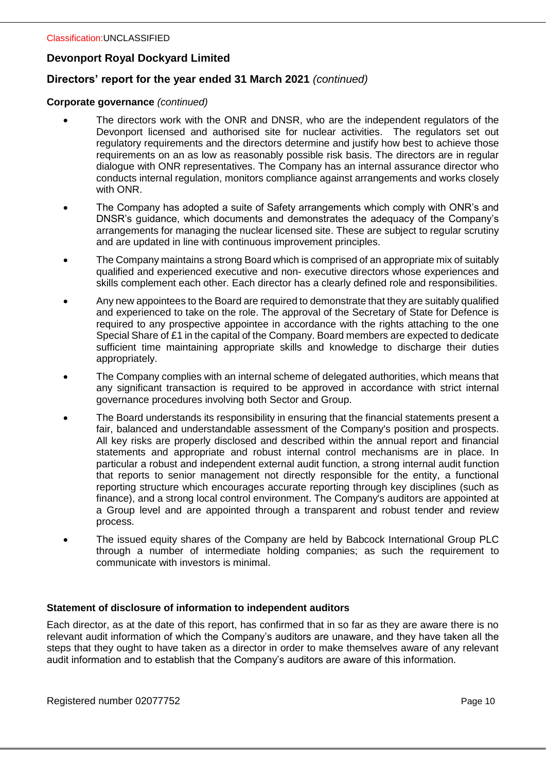# **Directors' report for the year ended 31 March 2021** *(continued)*

#### **Corporate governance** *(continued)*

- The directors work with the ONR and DNSR, who are the independent regulators of the Devonport licensed and authorised site for nuclear activities. The regulators set out regulatory requirements and the directors determine and justify how best to achieve those requirements on an as low as reasonably possible risk basis. The directors are in regular dialogue with ONR representatives. The Company has an internal assurance director who conducts internal regulation, monitors compliance against arrangements and works closely with ONR.
- The Company has adopted a suite of Safety arrangements which comply with ONR's and DNSR's guidance, which documents and demonstrates the adequacy of the Company's arrangements for managing the nuclear licensed site. These are subject to regular scrutiny and are updated in line with continuous improvement principles.
- The Company maintains a strong Board which is comprised of an appropriate mix of suitably qualified and experienced executive and non- executive directors whose experiences and skills complement each other. Each director has a clearly defined role and responsibilities.
- Any new appointees to the Board are required to demonstrate that they are suitably qualified and experienced to take on the role. The approval of the Secretary of State for Defence is required to any prospective appointee in accordance with the rights attaching to the one Special Share of £1 in the capital of the Company. Board members are expected to dedicate sufficient time maintaining appropriate skills and knowledge to discharge their duties appropriately.
- The Company complies with an internal scheme of delegated authorities, which means that any significant transaction is required to be approved in accordance with strict internal governance procedures involving both Sector and Group.
- The Board understands its responsibility in ensuring that the financial statements present a fair, balanced and understandable assessment of the Company's position and prospects. All key risks are properly disclosed and described within the annual report and financial statements and appropriate and robust internal control mechanisms are in place. In particular a robust and independent external audit function, a strong internal audit function that reports to senior management not directly responsible for the entity, a functional reporting structure which encourages accurate reporting through key disciplines (such as finance), and a strong local control environment. The Company's auditors are appointed at a Group level and are appointed through a transparent and robust tender and review process.
- The issued equity shares of the Company are held by Babcock International Group PLC through a number of intermediate holding companies; as such the requirement to communicate with investors is minimal.

#### **Statement of disclosure of information to independent auditors**

Each director, as at the date of this report, has confirmed that in so far as they are aware there is no relevant audit information of which the Company's auditors are unaware, and they have taken all the steps that they ought to have taken as a director in order to make themselves aware of any relevant audit information and to establish that the Company's auditors are aware of this information.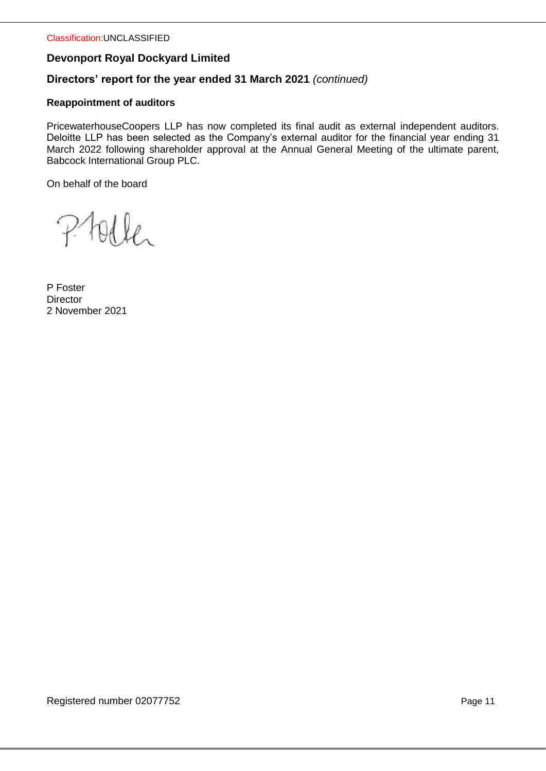# **Directors' report for the year ended 31 March 2021** *(continued)*

## **Reappointment of auditors**

PricewaterhouseCoopers LLP has now completed its final audit as external independent auditors. Deloitte LLP has been selected as the Company's external auditor for the financial year ending 31 March 2022 following shareholder approval at the Annual General Meeting of the ultimate parent, Babcock International Group PLC.

On behalf of the board

tolle  $\mathcal{P}$ 

P Foster **Director** 2 November 2021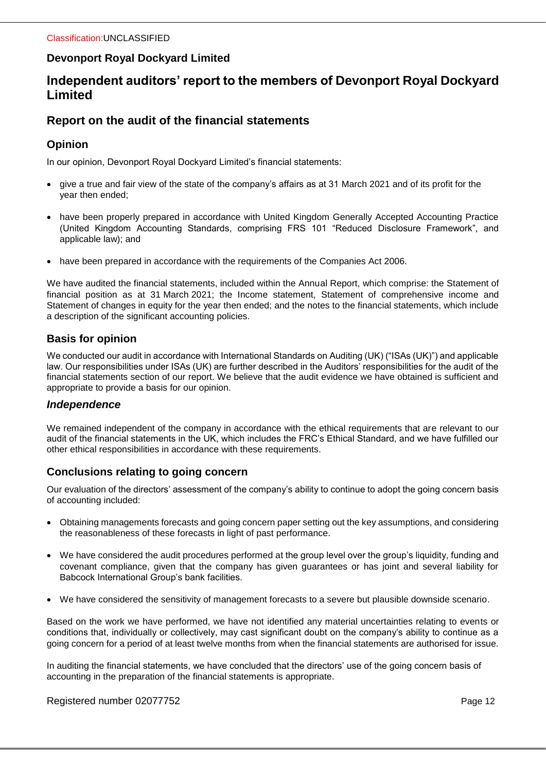# **Independent auditors' report to the members of Devonport Royal Dockyard Limited**

# **Report on the audit of the financial statements**

## **Opinion**

In our opinion, Devonport Royal Dockyard Limited's financial statements:

- give a true and fair view of the state of the company's affairs as at 31 March 2021 and of its profit for the year then ended;
- have been properly prepared in accordance with United Kingdom Generally Accepted Accounting Practice (United Kingdom Accounting Standards, comprising FRS 101 "Reduced Disclosure Framework", and applicable law); and
- have been prepared in accordance with the requirements of the Companies Act 2006.

We have audited the financial statements, included within the Annual Report, which comprise: the Statement of financial position as at 31 March 2021; the Income statement, Statement of comprehensive income and Statement of changes in equity for the year then ended; and the notes to the financial statements, which include a description of the significant accounting policies.

## **Basis for opinion**

We conducted our audit in accordance with International Standards on Auditing (UK) ("ISAs (UK)") and applicable law. Our responsibilities under ISAs (UK) are further described in the Auditors' responsibilities for the audit of the financial statements section of our report. We believe that the audit evidence we have obtained is sufficient and appropriate to provide a basis for our opinion.

## *Independence*

We remained independent of the company in accordance with the ethical requirements that are relevant to our audit of the financial statements in the UK, which includes the FRC's Ethical Standard, and we have fulfilled our other ethical responsibilities in accordance with these requirements.

# **Conclusions relating to going concern**

Our evaluation of the directors' assessment of the company's ability to continue to adopt the going concern basis of accounting included:

- Obtaining managements forecasts and going concern paper setting out the key assumptions, and considering the reasonableness of these forecasts in light of past performance.
- We have considered the audit procedures performed at the group level over the group's liquidity, funding and covenant compliance, given that the company has given guarantees or has joint and several liability for Babcock International Group's bank facilities.
- We have considered the sensitivity of management forecasts to a severe but plausible downside scenario.

Based on the work we have performed, we have not identified any material uncertainties relating to events or conditions that, individually or collectively, may cast significant doubt on the company's ability to continue as a going concern for a period of at least twelve months from when the financial statements are authorised for issue.

In auditing the financial statements, we have concluded that the directors' use of the going concern basis of accounting in the preparation of the financial statements is appropriate.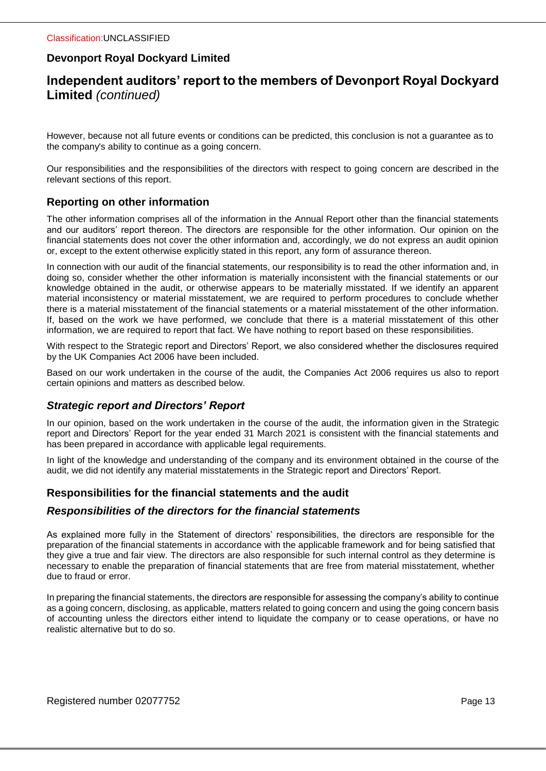# **Independent auditors' report to the members of Devonport Royal Dockyard Limited** *(continued)*

However, because not all future events or conditions can be predicted, this conclusion is not a guarantee as to the company's ability to continue as a going concern.

Our responsibilities and the responsibilities of the directors with respect to going concern are described in the relevant sections of this report.

## **Reporting on other information**

The other information comprises all of the information in the Annual Report other than the financial statements and our auditors' report thereon. The directors are responsible for the other information. Our opinion on the financial statements does not cover the other information and, accordingly, we do not express an audit opinion or, except to the extent otherwise explicitly stated in this report, any form of assurance thereon.

In connection with our audit of the financial statements, our responsibility is to read the other information and, in doing so, consider whether the other information is materially inconsistent with the financial statements or our knowledge obtained in the audit, or otherwise appears to be materially misstated. If we identify an apparent material inconsistency or material misstatement, we are required to perform procedures to conclude whether there is a material misstatement of the financial statements or a material misstatement of the other information. If, based on the work we have performed, we conclude that there is a material misstatement of this other information, we are required to report that fact. We have nothing to report based on these responsibilities.

With respect to the Strategic report and Directors' Report, we also considered whether the disclosures required by the UK Companies Act 2006 have been included.

Based on our work undertaken in the course of the audit, the Companies Act 2006 requires us also to report certain opinions and matters as described below.

## *Strategic report and Directors' Report*

In our opinion, based on the work undertaken in the course of the audit, the information given in the Strategic report and Directors' Report for the year ended 31 March 2021 is consistent with the financial statements and has been prepared in accordance with applicable legal requirements.

In light of the knowledge and understanding of the company and its environment obtained in the course of the audit, we did not identify any material misstatements in the Strategic report and Directors' Report.

## **Responsibilities for the financial statements and the audit**

#### *Responsibilities of the directors for the financial statements*

As explained more fully in the Statement of directors' responsibilities, the directors are responsible for the preparation of the financial statements in accordance with the applicable framework and for being satisfied that they give a true and fair view. The directors are also responsible for such internal control as they determine is necessary to enable the preparation of financial statements that are free from material misstatement, whether due to fraud or error.

In preparing the financial statements, the directors are responsible for assessing the company's ability to continue as a going concern, disclosing, as applicable, matters related to going concern and using the going concern basis of accounting unless the directors either intend to liquidate the company or to cease operations, or have no realistic alternative but to do so.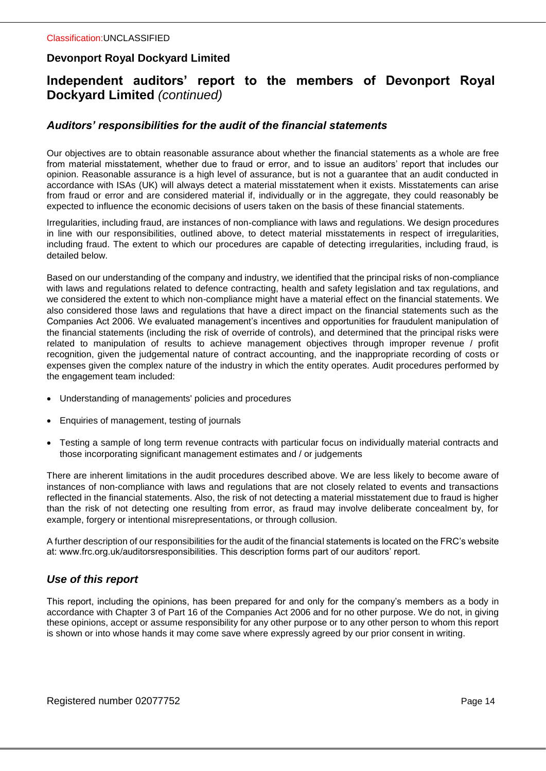# **Independent auditors' report to the members of Devonport Royal Dockyard Limited** *(continued)*

## *Auditors' responsibilities for the audit of the financial statements*

Our objectives are to obtain reasonable assurance about whether the financial statements as a whole are free from material misstatement, whether due to fraud or error, and to issue an auditors' report that includes our opinion. Reasonable assurance is a high level of assurance, but is not a guarantee that an audit conducted in accordance with ISAs (UK) will always detect a material misstatement when it exists. Misstatements can arise from fraud or error and are considered material if, individually or in the aggregate, they could reasonably be expected to influence the economic decisions of users taken on the basis of these financial statements.

Irregularities, including fraud, are instances of non-compliance with laws and regulations. We design procedures in line with our responsibilities, outlined above, to detect material misstatements in respect of irregularities, including fraud. The extent to which our procedures are capable of detecting irregularities, including fraud, is detailed below.

Based on our understanding of the company and industry, we identified that the principal risks of non-compliance with laws and regulations related to defence contracting, health and safety legislation and tax regulations, and we considered the extent to which non-compliance might have a material effect on the financial statements. We also considered those laws and regulations that have a direct impact on the financial statements such as the Companies Act 2006. We evaluated management's incentives and opportunities for fraudulent manipulation of the financial statements (including the risk of override of controls), and determined that the principal risks were related to manipulation of results to achieve management objectives through improper revenue / profit recognition, given the judgemental nature of contract accounting, and the inappropriate recording of costs or expenses given the complex nature of the industry in which the entity operates. Audit procedures performed by the engagement team included:

- Understanding of managements' policies and procedures
- Enquiries of management, testing of journals
- Testing a sample of long term revenue contracts with particular focus on individually material contracts and those incorporating significant management estimates and / or judgements

There are inherent limitations in the audit procedures described above. We are less likely to become aware of instances of non-compliance with laws and regulations that are not closely related to events and transactions reflected in the financial statements. Also, the risk of not detecting a material misstatement due to fraud is higher than the risk of not detecting one resulting from error, as fraud may involve deliberate concealment by, for example, forgery or intentional misrepresentations, or through collusion.

A further description of our responsibilities for the audit of the financial statements is located on the FRC's website at: www.frc.org.uk/auditorsresponsibilities. This description forms part of our auditors' report.

#### *Use of this report*

This report, including the opinions, has been prepared for and only for the company's members as a body in accordance with Chapter 3 of Part 16 of the Companies Act 2006 and for no other purpose. We do not, in giving these opinions, accept or assume responsibility for any other purpose or to any other person to whom this report is shown or into whose hands it may come save where expressly agreed by our prior consent in writing.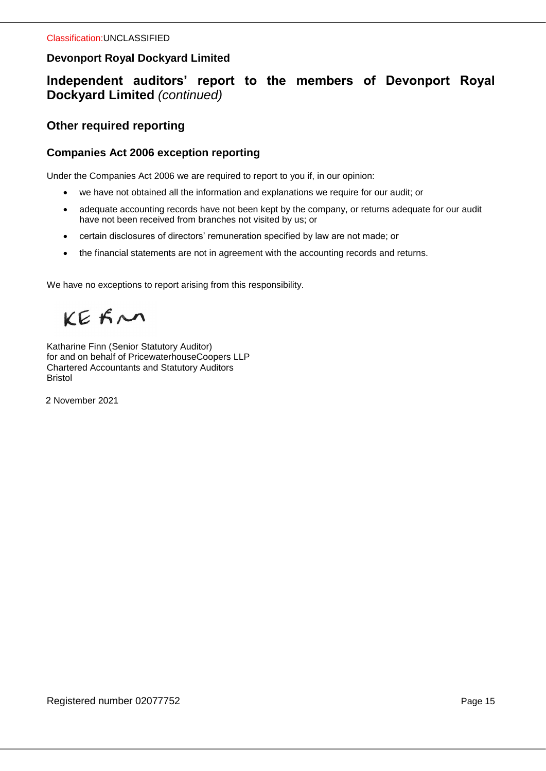# **Independent auditors' report to the members of Devonport Royal Dockyard Limited** *(continued)*

# **Other required reporting**

## **Companies Act 2006 exception reporting**

Under the Companies Act 2006 we are required to report to you if, in our opinion:

- we have not obtained all the information and explanations we require for our audit; or
- adequate accounting records have not been kept by the company, or returns adequate for our audit have not been received from branches not visited by us; or
- certain disclosures of directors' remuneration specified by law are not made; or
- the financial statements are not in agreement with the accounting records and returns.

We have no exceptions to report arising from this responsibility.

KEFN

Katharine Finn (Senior Statutory Auditor) for and on behalf of PricewaterhouseCoopers LLP Chartered Accountants and Statutory Auditors Bristol

2 November 2021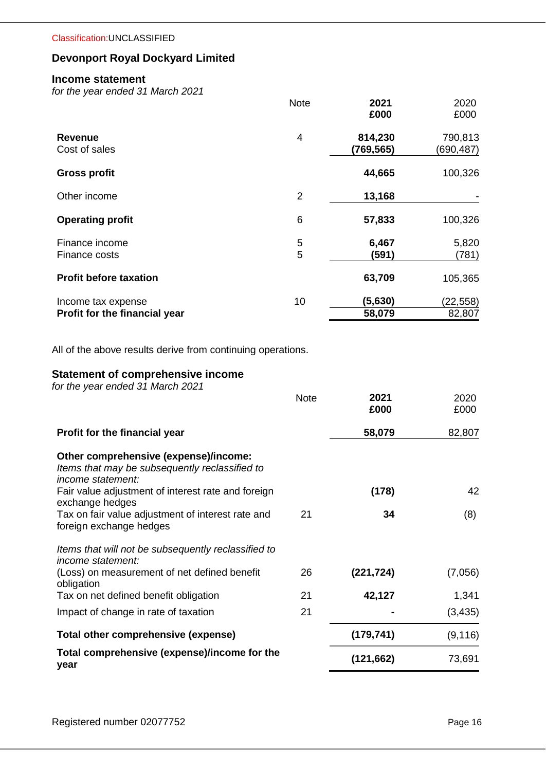#### Classification:UNCLASSIFIED

# **Devonport Royal Dockyard Limited**

#### **Income statement**

*for the year ended 31 March 2021*

|                                 | <b>Note</b> | 2021<br>£000         | 2020<br>£000          |
|---------------------------------|-------------|----------------------|-----------------------|
| <b>Revenue</b><br>Cost of sales | 4           | 814,230<br>(769,565) | 790,813<br>(690, 487) |
| <b>Gross profit</b>             |             | 44,665               | 100,326               |
| Other income                    | 2           | 13,168               |                       |
| <b>Operating profit</b>         | 6           | 57,833               | 100,326               |
| Finance income<br>Finance costs | 5<br>5      | 6,467<br>(591)       | 5,820<br>(781)        |
| <b>Profit before taxation</b>   |             | 63,709               | 105,365               |
| Income tax expense              | 10          | (5,630)              | (22, 558)             |
| Profit for the financial year   |             | 58,079               | 82,807                |

All of the above results derive from continuing operations.

# **Statement of comprehensive income**

*for the year ended 31 March 2021*

|                                                                                                                     | <b>Note</b> | 2021<br>£000 | 2020<br>£000 |
|---------------------------------------------------------------------------------------------------------------------|-------------|--------------|--------------|
| Profit for the financial year                                                                                       |             | 58,079       | 82,807       |
| Other comprehensive (expense)/income:<br>Items that may be subsequently reclassified to<br><i>income statement:</i> |             |              |              |
| Fair value adjustment of interest rate and foreign<br>exchange hedges                                               |             | (178)        | 42           |
| Tax on fair value adjustment of interest rate and<br>foreign exchange hedges                                        | 21          | 34           | (8)          |
| Items that will not be subsequently reclassified to<br><i>income statement:</i>                                     |             |              |              |
| (Loss) on measurement of net defined benefit<br>obligation                                                          | 26          | (221, 724)   | (7,056)      |
| Tax on net defined benefit obligation                                                                               | 21          | 42,127       | 1,341        |
| Impact of change in rate of taxation                                                                                | 21          |              | (3, 435)     |
| Total other comprehensive (expense)                                                                                 |             | (179, 741)   | (9, 116)     |
| Total comprehensive (expense)/income for the<br>year                                                                |             | (121, 662)   | 73,691       |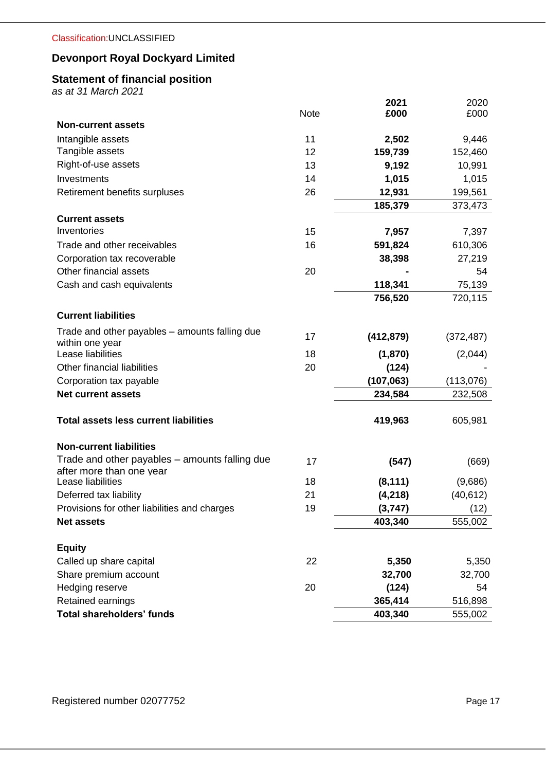# **Statement of financial position**

*as at 31 March 2021*

|                                                                            |      | 2021       | 2020       |
|----------------------------------------------------------------------------|------|------------|------------|
| <b>Non-current assets</b>                                                  | Note | £000       | £000       |
| Intangible assets                                                          | 11   | 2,502      | 9,446      |
| Tangible assets                                                            | 12   | 159,739    | 152,460    |
| Right-of-use assets                                                        | 13   | 9,192      | 10,991     |
| Investments                                                                | 14   | 1,015      | 1,015      |
| Retirement benefits surpluses                                              | 26   | 12,931     | 199,561    |
|                                                                            |      | 185,379    | 373,473    |
| <b>Current assets</b>                                                      |      |            |            |
| Inventories                                                                | 15   | 7,957      | 7,397      |
| Trade and other receivables                                                | 16   | 591,824    | 610,306    |
| Corporation tax recoverable                                                |      | 38,398     | 27,219     |
| Other financial assets                                                     | 20   |            | 54         |
| Cash and cash equivalents                                                  |      | 118,341    | 75,139     |
|                                                                            |      | 756,520    | 720,115    |
| <b>Current liabilities</b>                                                 |      |            |            |
| Trade and other payables – amounts falling due                             | 17   | (412, 879) | (372, 487) |
| within one year                                                            |      |            |            |
| Lease liabilities                                                          | 18   | (1,870)    | (2,044)    |
| Other financial liabilities                                                | 20   | (124)      |            |
| Corporation tax payable                                                    |      | (107, 063) | (113,076)  |
| <b>Net current assets</b>                                                  |      | 234,584    | 232,508    |
| <b>Total assets less current liabilities</b>                               |      | 419,963    | 605,981    |
| <b>Non-current liabilities</b>                                             |      |            |            |
| Trade and other payables - amounts falling due<br>after more than one year | 17   | (547)      | (669)      |
| Lease liabilities                                                          | 18   | (8, 111)   | (9,686)    |
| Deferred tax liability                                                     | 21   | (4,218)    | (40, 612)  |
| Provisions for other liabilities and charges                               | 19   | (3,747)    | (12)       |
| <b>Net assets</b>                                                          |      | 403,340    | 555,002    |
| <b>Equity</b>                                                              |      |            |            |
| Called up share capital                                                    | 22   | 5,350      | 5,350      |
| Share premium account                                                      |      | 32,700     | 32,700     |
| Hedging reserve                                                            | 20   | (124)      | 54         |
| Retained earnings                                                          |      | 365,414    | 516,898    |
| <b>Total shareholders' funds</b>                                           |      | 403,340    | 555,002    |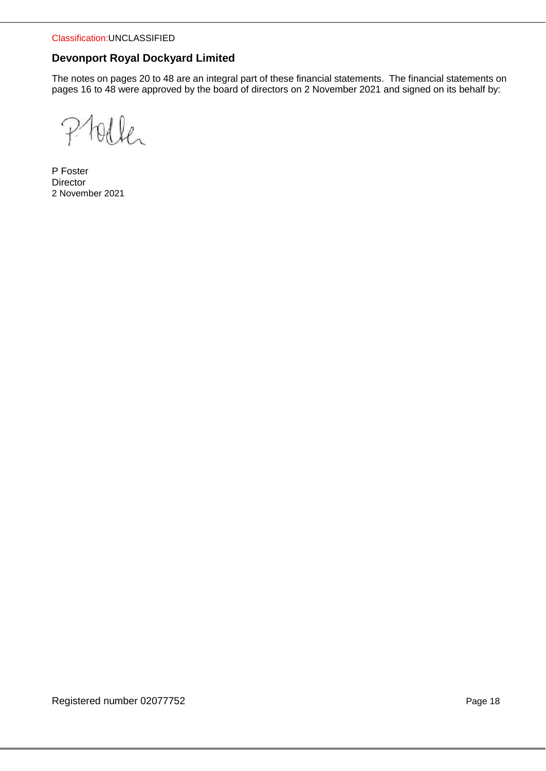Classification:UNCLASSIFIED

# **Devonport Royal Dockyard Limited**

The notes on pages 20 to 48 are an integral part of these financial statements. The financial statements on pages 16 to 48 were approved by the board of directors on 2 November 2021 and signed on its behalf by:

 $\mathcal{P}$ Olla

P Foster **Director** 2 November 2021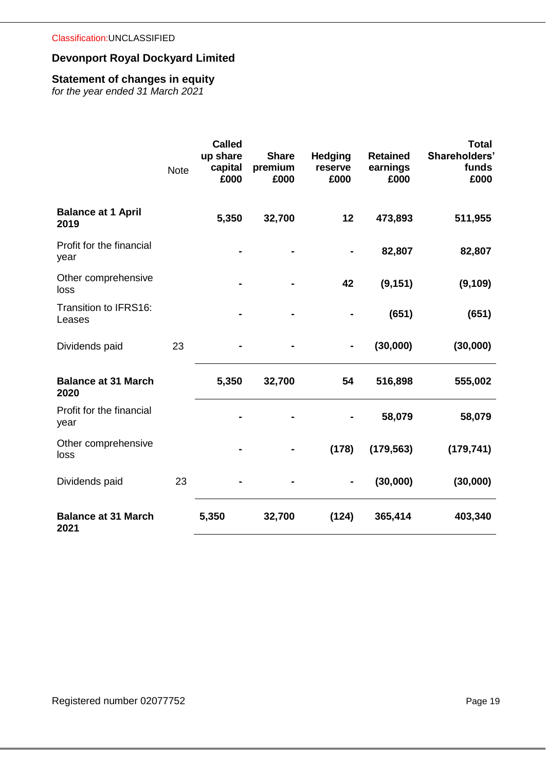# **Statement of changes in equity**

*for the year ended 31 March 2021*

|                                    | <b>Note</b> | <b>Called</b><br>up share<br>capital<br>£000 | <b>Share</b><br>premium<br>£000 | <b>Hedging</b><br>reserve<br>£000 | <b>Retained</b><br>earnings<br>£000 | <b>Total</b><br>Shareholders'<br>funds<br>£000 |
|------------------------------------|-------------|----------------------------------------------|---------------------------------|-----------------------------------|-------------------------------------|------------------------------------------------|
| <b>Balance at 1 April</b><br>2019  |             | 5,350                                        | 32,700                          | 12                                | 473,893                             | 511,955                                        |
| Profit for the financial<br>year   |             |                                              |                                 |                                   | 82,807                              | 82,807                                         |
| Other comprehensive<br>loss        |             |                                              |                                 | 42                                | (9, 151)                            | (9, 109)                                       |
| Transition to IFRS16:<br>Leases    |             |                                              |                                 |                                   | (651)                               | (651)                                          |
| Dividends paid                     | 23          |                                              |                                 |                                   | (30,000)                            | (30,000)                                       |
| <b>Balance at 31 March</b><br>2020 |             | 5,350                                        | 32,700                          | 54                                | 516,898                             | 555,002                                        |
| Profit for the financial<br>year   |             |                                              |                                 |                                   | 58,079                              | 58,079                                         |
| Other comprehensive<br>loss        |             |                                              |                                 | (178)                             | (179, 563)                          | (179, 741)                                     |
| Dividends paid                     | 23          |                                              |                                 |                                   | (30,000)                            | (30,000)                                       |
| <b>Balance at 31 March</b><br>2021 |             | 5,350                                        | 32,700                          | (124)                             | 365,414                             | 403,340                                        |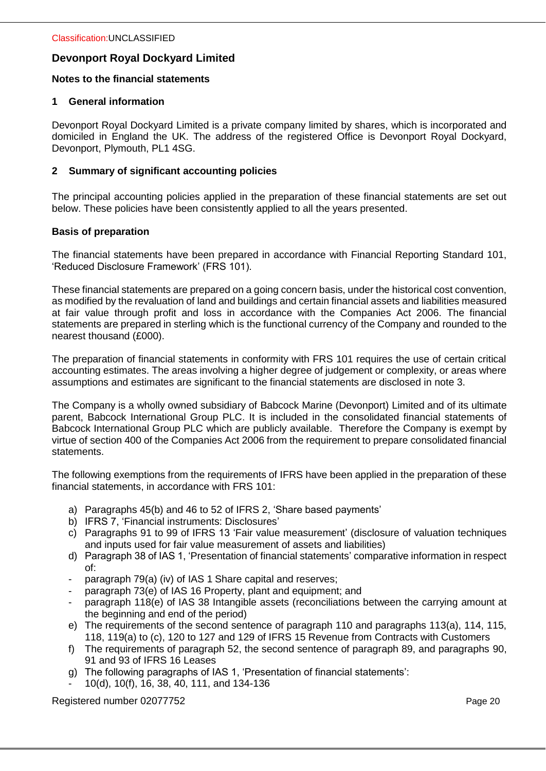#### **Notes to the financial statements**

## **1 General information**

Devonport Royal Dockyard Limited is a private company limited by shares, which is incorporated and domiciled in England the UK. The address of the registered Office is Devonport Royal Dockyard, Devonport, Plymouth, PL1 4SG.

## **2 Summary of significant accounting policies**

The principal accounting policies applied in the preparation of these financial statements are set out below. These policies have been consistently applied to all the years presented.

## **Basis of preparation**

The financial statements have been prepared in accordance with Financial Reporting Standard 101, 'Reduced Disclosure Framework' (FRS 101).

These financial statements are prepared on a going concern basis, under the historical cost convention, as modified by the revaluation of land and buildings and certain financial assets and liabilities measured at fair value through profit and loss in accordance with the Companies Act 2006. The financial statements are prepared in sterling which is the functional currency of the Company and rounded to the nearest thousand (£000).

The preparation of financial statements in conformity with FRS 101 requires the use of certain critical accounting estimates. The areas involving a higher degree of judgement or complexity, or areas where assumptions and estimates are significant to the financial statements are disclosed in note 3.

The Company is a wholly owned subsidiary of Babcock Marine (Devonport) Limited and of its ultimate parent, Babcock International Group PLC. It is included in the consolidated financial statements of Babcock International Group PLC which are publicly available. Therefore the Company is exempt by virtue of section 400 of the Companies Act 2006 from the requirement to prepare consolidated financial statements.

The following exemptions from the requirements of IFRS have been applied in the preparation of these financial statements, in accordance with FRS 101:

- a) Paragraphs 45(b) and 46 to 52 of IFRS 2, 'Share based payments'
- b) IFRS 7, 'Financial instruments: Disclosures'
- c) Paragraphs 91 to 99 of IFRS 13 'Fair value measurement' (disclosure of valuation techniques and inputs used for fair value measurement of assets and liabilities)
- d) Paragraph 38 of IAS 1, 'Presentation of financial statements' comparative information in respect of:
- paragraph 79(a) (iv) of IAS 1 Share capital and reserves;
- paragraph 73(e) of IAS 16 Property, plant and equipment; and
- paragraph 118(e) of IAS 38 Intangible assets (reconciliations between the carrying amount at the beginning and end of the period)
- e) The requirements of the second sentence of paragraph 110 and paragraphs 113(a), 114, 115, 118, 119(a) to (c), 120 to 127 and 129 of IFRS 15 Revenue from Contracts with Customers
- f) The requirements of paragraph 52, the second sentence of paragraph 89, and paragraphs 90, 91 and 93 of IFRS 16 Leases
- g) The following paragraphs of IAS 1, 'Presentation of financial statements':
- 10(d), 10(f), 16, 38, 40, 111, and 134-136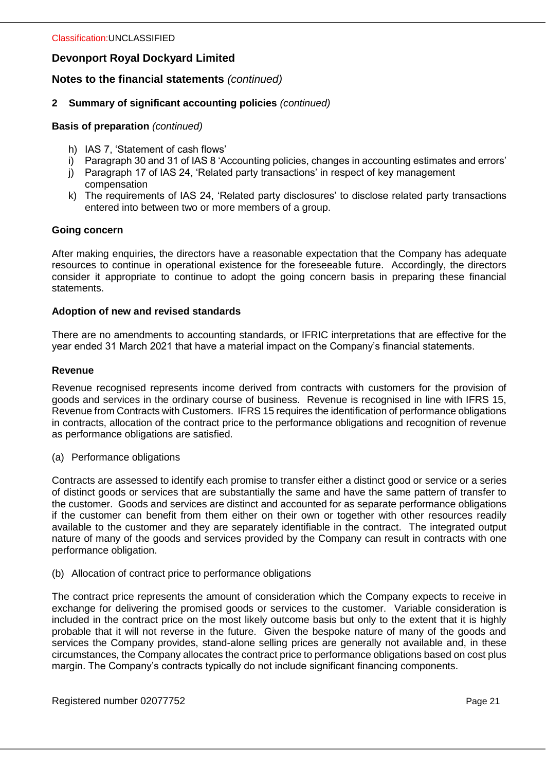# **Notes to the financial statements** *(continued)*

## **2 Summary of significant accounting policies** *(continued)*

**Basis of preparation** *(continued)*

- h) IAS 7, 'Statement of cash flows'
- i) Paragraph 30 and 31 of IAS 8 'Accounting policies, changes in accounting estimates and errors'
- j) Paragraph 17 of IAS 24, 'Related party transactions' in respect of key management compensation
- k) The requirements of IAS 24, 'Related party disclosures' to disclose related party transactions entered into between two or more members of a group.

#### **Going concern**

After making enquiries, the directors have a reasonable expectation that the Company has adequate resources to continue in operational existence for the foreseeable future. Accordingly, the directors consider it appropriate to continue to adopt the going concern basis in preparing these financial statements.

## **Adoption of new and revised standards**

There are no amendments to accounting standards, or IFRIC interpretations that are effective for the year ended 31 March 2021 that have a material impact on the Company's financial statements.

#### **Revenue**

Revenue recognised represents income derived from contracts with customers for the provision of goods and services in the ordinary course of business. Revenue is recognised in line with IFRS 15, Revenue from Contracts with Customers. IFRS 15 requires the identification of performance obligations in contracts, allocation of the contract price to the performance obligations and recognition of revenue as performance obligations are satisfied.

(a) Performance obligations

Contracts are assessed to identify each promise to transfer either a distinct good or service or a series of distinct goods or services that are substantially the same and have the same pattern of transfer to the customer. Goods and services are distinct and accounted for as separate performance obligations if the customer can benefit from them either on their own or together with other resources readily available to the customer and they are separately identifiable in the contract. The integrated output nature of many of the goods and services provided by the Company can result in contracts with one performance obligation.

#### (b) Allocation of contract price to performance obligations

The contract price represents the amount of consideration which the Company expects to receive in exchange for delivering the promised goods or services to the customer. Variable consideration is included in the contract price on the most likely outcome basis but only to the extent that it is highly probable that it will not reverse in the future. Given the bespoke nature of many of the goods and services the Company provides, stand-alone selling prices are generally not available and, in these circumstances, the Company allocates the contract price to performance obligations based on cost plus margin. The Company's contracts typically do not include significant financing components.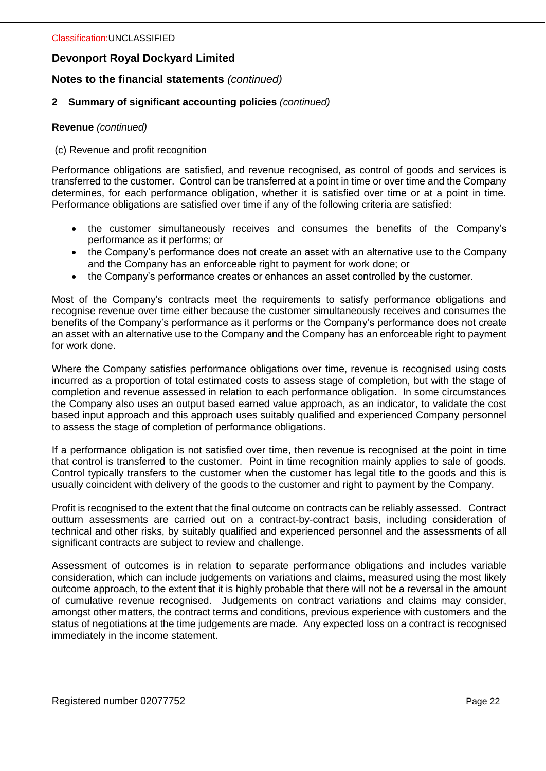# **Notes to the financial statements** *(continued)*

## **2 Summary of significant accounting policies** *(continued)*

#### **Revenue** *(continued)*

#### (c) Revenue and profit recognition

Performance obligations are satisfied, and revenue recognised, as control of goods and services is transferred to the customer. Control can be transferred at a point in time or over time and the Company determines, for each performance obligation, whether it is satisfied over time or at a point in time. Performance obligations are satisfied over time if any of the following criteria are satisfied:

- the customer simultaneously receives and consumes the benefits of the Company's performance as it performs; or
- the Company's performance does not create an asset with an alternative use to the Company and the Company has an enforceable right to payment for work done; or
- the Company's performance creates or enhances an asset controlled by the customer.

Most of the Company's contracts meet the requirements to satisfy performance obligations and recognise revenue over time either because the customer simultaneously receives and consumes the benefits of the Company's performance as it performs or the Company's performance does not create an asset with an alternative use to the Company and the Company has an enforceable right to payment for work done.

Where the Company satisfies performance obligations over time, revenue is recognised using costs incurred as a proportion of total estimated costs to assess stage of completion, but with the stage of completion and revenue assessed in relation to each performance obligation. In some circumstances the Company also uses an output based earned value approach, as an indicator, to validate the cost based input approach and this approach uses suitably qualified and experienced Company personnel to assess the stage of completion of performance obligations.

If a performance obligation is not satisfied over time, then revenue is recognised at the point in time that control is transferred to the customer. Point in time recognition mainly applies to sale of goods. Control typically transfers to the customer when the customer has legal title to the goods and this is usually coincident with delivery of the goods to the customer and right to payment by the Company.

Profit is recognised to the extent that the final outcome on contracts can be reliably assessed. Contract outturn assessments are carried out on a contract-by-contract basis, including consideration of technical and other risks, by suitably qualified and experienced personnel and the assessments of all significant contracts are subject to review and challenge.

Assessment of outcomes is in relation to separate performance obligations and includes variable consideration, which can include judgements on variations and claims, measured using the most likely outcome approach, to the extent that it is highly probable that there will not be a reversal in the amount of cumulative revenue recognised. Judgements on contract variations and claims may consider, amongst other matters, the contract terms and conditions, previous experience with customers and the status of negotiations at the time judgements are made. Any expected loss on a contract is recognised immediately in the income statement.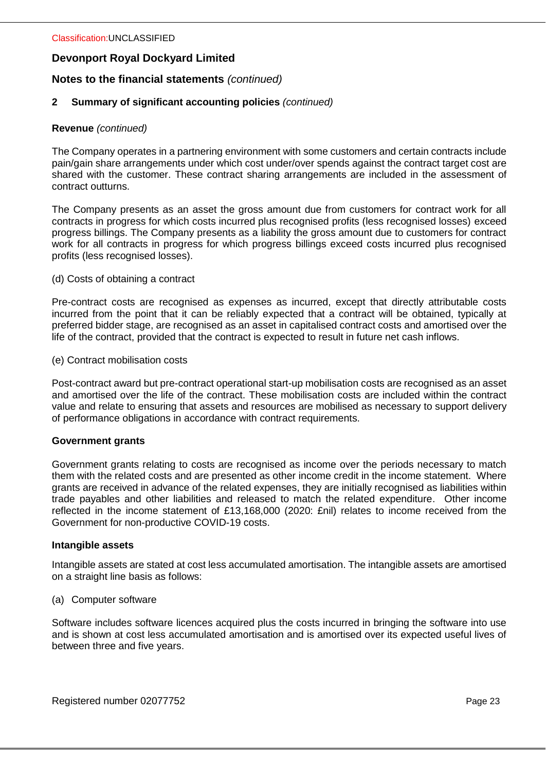# **Notes to the financial statements** *(continued)*

## **2 Summary of significant accounting policies** *(continued)*

#### **Revenue** *(continued)*

The Company operates in a partnering environment with some customers and certain contracts include pain/gain share arrangements under which cost under/over spends against the contract target cost are shared with the customer. These contract sharing arrangements are included in the assessment of contract outturns.

The Company presents as an asset the gross amount due from customers for contract work for all contracts in progress for which costs incurred plus recognised profits (less recognised losses) exceed progress billings. The Company presents as a liability the gross amount due to customers for contract work for all contracts in progress for which progress billings exceed costs incurred plus recognised profits (less recognised losses).

#### (d) Costs of obtaining a contract

Pre-contract costs are recognised as expenses as incurred, except that directly attributable costs incurred from the point that it can be reliably expected that a contract will be obtained, typically at preferred bidder stage, are recognised as an asset in capitalised contract costs and amortised over the life of the contract, provided that the contract is expected to result in future net cash inflows.

#### (e) Contract mobilisation costs

Post-contract award but pre-contract operational start-up mobilisation costs are recognised as an asset and amortised over the life of the contract. These mobilisation costs are included within the contract value and relate to ensuring that assets and resources are mobilised as necessary to support delivery of performance obligations in accordance with contract requirements.

#### **Government grants**

Government grants relating to costs are recognised as income over the periods necessary to match them with the related costs and are presented as other income credit in the income statement. Where grants are received in advance of the related expenses, they are initially recognised as liabilities within trade payables and other liabilities and released to match the related expenditure. Other income reflected in the income statement of £13,168,000 (2020: £nil) relates to income received from the Government for non-productive COVID-19 costs.

#### **Intangible assets**

Intangible assets are stated at cost less accumulated amortisation. The intangible assets are amortised on a straight line basis as follows:

#### (a) Computer software

Software includes software licences acquired plus the costs incurred in bringing the software into use and is shown at cost less accumulated amortisation and is amortised over its expected useful lives of between three and five years.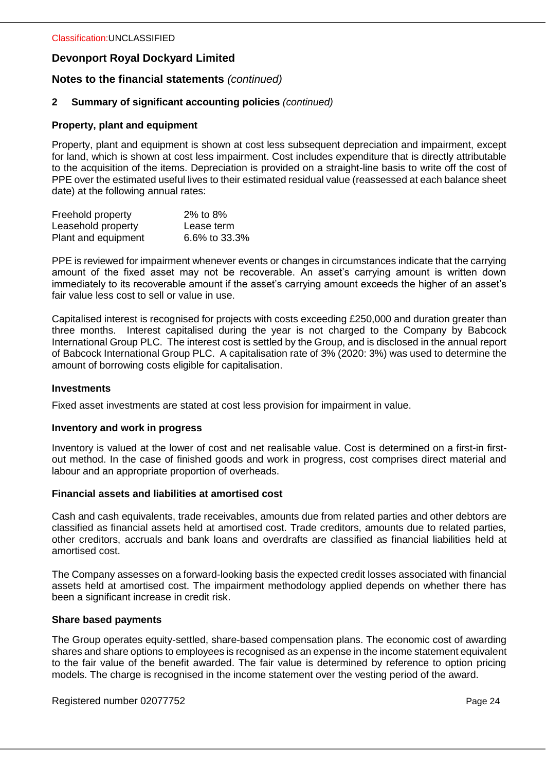## **Notes to the financial statements** *(continued)*

## **2 Summary of significant accounting policies** *(continued)*

#### **Property, plant and equipment**

Property, plant and equipment is shown at cost less subsequent depreciation and impairment, except for land, which is shown at cost less impairment. Cost includes expenditure that is directly attributable to the acquisition of the items. Depreciation is provided on a straight-line basis to write off the cost of PPE over the estimated useful lives to their estimated residual value (reassessed at each balance sheet date) at the following annual rates:

| Freehold property   | 2% to 8%      |
|---------------------|---------------|
| Leasehold property  | Lease term    |
| Plant and equipment | 6.6% to 33.3% |

PPE is reviewed for impairment whenever events or changes in circumstances indicate that the carrying amount of the fixed asset may not be recoverable. An asset's carrying amount is written down immediately to its recoverable amount if the asset's carrying amount exceeds the higher of an asset's fair value less cost to sell or value in use.

Capitalised interest is recognised for projects with costs exceeding £250,000 and duration greater than three months. Interest capitalised during the year is not charged to the Company by Babcock International Group PLC. The interest cost is settled by the Group, and is disclosed in the annual report of Babcock International Group PLC. A capitalisation rate of 3% (2020: 3%) was used to determine the amount of borrowing costs eligible for capitalisation.

#### **Investments**

Fixed asset investments are stated at cost less provision for impairment in value.

#### **Inventory and work in progress**

Inventory is valued at the lower of cost and net realisable value. Cost is determined on a first-in firstout method. In the case of finished goods and work in progress, cost comprises direct material and labour and an appropriate proportion of overheads.

#### **Financial assets and liabilities at amortised cost**

Cash and cash equivalents, trade receivables, amounts due from related parties and other debtors are classified as financial assets held at amortised cost. Trade creditors, amounts due to related parties, other creditors, accruals and bank loans and overdrafts are classified as financial liabilities held at amortised cost.

The Company assesses on a forward-looking basis the expected credit losses associated with financial assets held at amortised cost. The impairment methodology applied depends on whether there has been a significant increase in credit risk.

#### **Share based payments**

The Group operates equity-settled, share-based compensation plans. The economic cost of awarding shares and share options to employees is recognised as an expense in the income statement equivalent to the fair value of the benefit awarded. The fair value is determined by reference to option pricing models. The charge is recognised in the income statement over the vesting period of the award.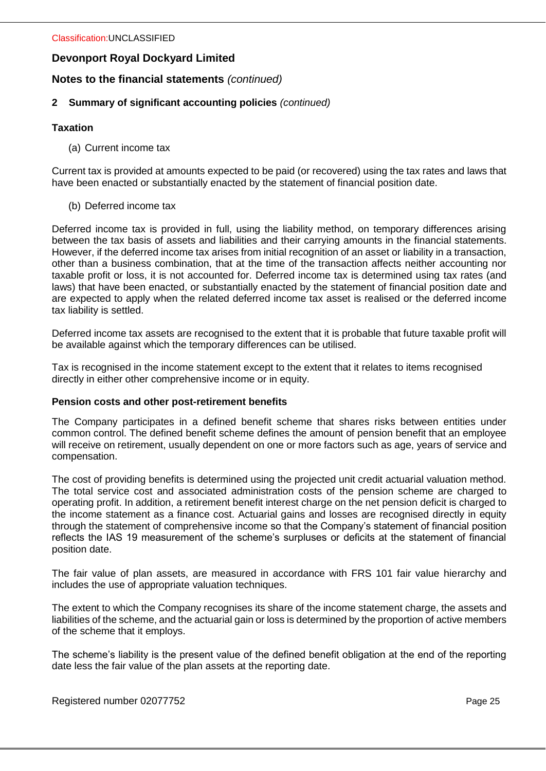# **Notes to the financial statements** *(continued)*

## **2 Summary of significant accounting policies** *(continued)*

## **Taxation**

(a) Current income tax

Current tax is provided at amounts expected to be paid (or recovered) using the tax rates and laws that have been enacted or substantially enacted by the statement of financial position date.

(b) Deferred income tax

Deferred income tax is provided in full, using the liability method, on temporary differences arising between the tax basis of assets and liabilities and their carrying amounts in the financial statements. However, if the deferred income tax arises from initial recognition of an asset or liability in a transaction, other than a business combination, that at the time of the transaction affects neither accounting nor taxable profit or loss, it is not accounted for. Deferred income tax is determined using tax rates (and laws) that have been enacted, or substantially enacted by the statement of financial position date and are expected to apply when the related deferred income tax asset is realised or the deferred income tax liability is settled.

Deferred income tax assets are recognised to the extent that it is probable that future taxable profit will be available against which the temporary differences can be utilised.

Tax is recognised in the income statement except to the extent that it relates to items recognised directly in either other comprehensive income or in equity.

#### **Pension costs and other post-retirement benefits**

The Company participates in a defined benefit scheme that shares risks between entities under common control. The defined benefit scheme defines the amount of pension benefit that an employee will receive on retirement, usually dependent on one or more factors such as age, years of service and compensation.

The cost of providing benefits is determined using the projected unit credit actuarial valuation method. The total service cost and associated administration costs of the pension scheme are charged to operating profit. In addition, a retirement benefit interest charge on the net pension deficit is charged to the income statement as a finance cost. Actuarial gains and losses are recognised directly in equity through the statement of comprehensive income so that the Company's statement of financial position reflects the IAS 19 measurement of the scheme's surpluses or deficits at the statement of financial position date.

The fair value of plan assets, are measured in accordance with FRS 101 fair value hierarchy and includes the use of appropriate valuation techniques.

The extent to which the Company recognises its share of the income statement charge, the assets and liabilities of the scheme, and the actuarial gain or loss is determined by the proportion of active members of the scheme that it employs.

The scheme's liability is the present value of the defined benefit obligation at the end of the reporting date less the fair value of the plan assets at the reporting date.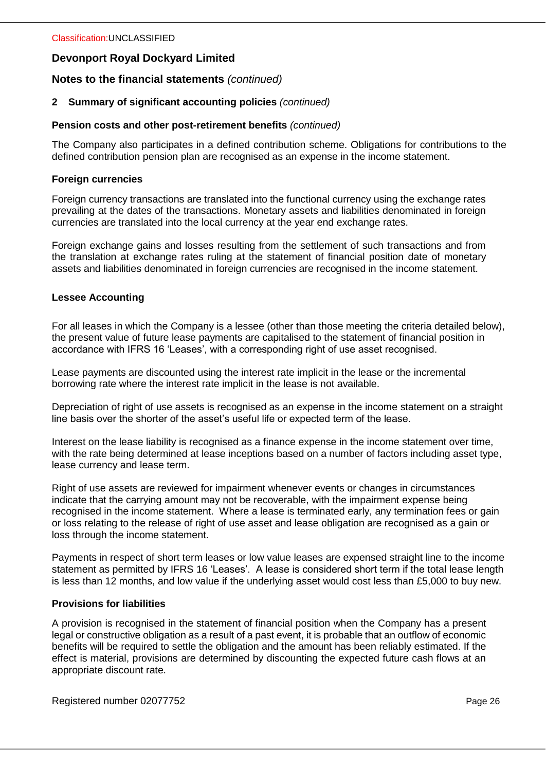# **Notes to the financial statements** *(continued)*

## **2 Summary of significant accounting policies** *(continued)*

#### **Pension costs and other post-retirement benefits** *(continued)*

The Company also participates in a defined contribution scheme. Obligations for contributions to the defined contribution pension plan are recognised as an expense in the income statement.

## **Foreign currencies**

Foreign currency transactions are translated into the functional currency using the exchange rates prevailing at the dates of the transactions. Monetary assets and liabilities denominated in foreign currencies are translated into the local currency at the year end exchange rates.

Foreign exchange gains and losses resulting from the settlement of such transactions and from the translation at exchange rates ruling at the statement of financial position date of monetary assets and liabilities denominated in foreign currencies are recognised in the income statement.

## **Lessee Accounting**

For all leases in which the Company is a lessee (other than those meeting the criteria detailed below), the present value of future lease payments are capitalised to the statement of financial position in accordance with IFRS 16 'Leases', with a corresponding right of use asset recognised.

Lease payments are discounted using the interest rate implicit in the lease or the incremental borrowing rate where the interest rate implicit in the lease is not available.

Depreciation of right of use assets is recognised as an expense in the income statement on a straight line basis over the shorter of the asset's useful life or expected term of the lease.

Interest on the lease liability is recognised as a finance expense in the income statement over time, with the rate being determined at lease inceptions based on a number of factors including asset type, lease currency and lease term.

Right of use assets are reviewed for impairment whenever events or changes in circumstances indicate that the carrying amount may not be recoverable, with the impairment expense being recognised in the income statement. Where a lease is terminated early, any termination fees or gain or loss relating to the release of right of use asset and lease obligation are recognised as a gain or loss through the income statement.

Payments in respect of short term leases or low value leases are expensed straight line to the income statement as permitted by IFRS 16 'Leases'. A lease is considered short term if the total lease length is less than 12 months, and low value if the underlying asset would cost less than £5,000 to buy new.

#### **Provisions for liabilities**

A provision is recognised in the statement of financial position when the Company has a present legal or constructive obligation as a result of a past event, it is probable that an outflow of economic benefits will be required to settle the obligation and the amount has been reliably estimated. If the effect is material, provisions are determined by discounting the expected future cash flows at an appropriate discount rate.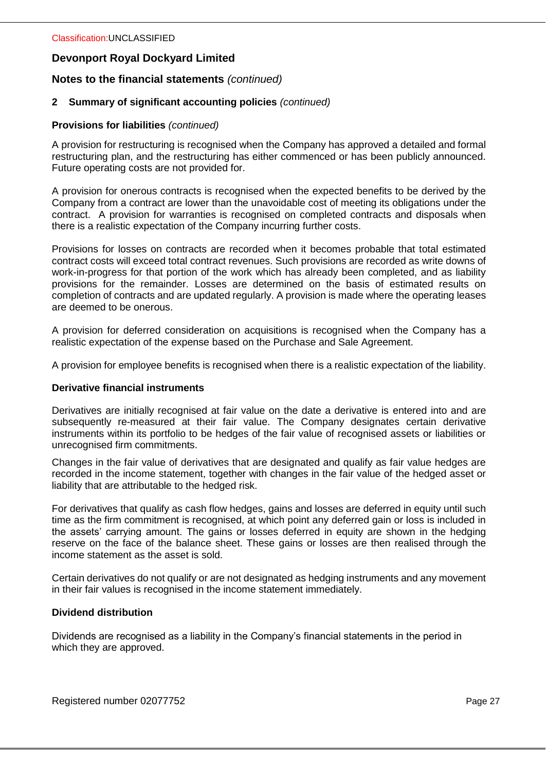# **Notes to the financial statements** *(continued)*

## **2 Summary of significant accounting policies** *(continued)*

## **Provisions for liabilities** *(continued)*

A provision for restructuring is recognised when the Company has approved a detailed and formal restructuring plan, and the restructuring has either commenced or has been publicly announced. Future operating costs are not provided for.

A provision for onerous contracts is recognised when the expected benefits to be derived by the Company from a contract are lower than the unavoidable cost of meeting its obligations under the contract. A provision for warranties is recognised on completed contracts and disposals when there is a realistic expectation of the Company incurring further costs.

Provisions for losses on contracts are recorded when it becomes probable that total estimated contract costs will exceed total contract revenues. Such provisions are recorded as write downs of work-in-progress for that portion of the work which has already been completed, and as liability provisions for the remainder. Losses are determined on the basis of estimated results on completion of contracts and are updated regularly. A provision is made where the operating leases are deemed to be onerous.

A provision for deferred consideration on acquisitions is recognised when the Company has a realistic expectation of the expense based on the Purchase and Sale Agreement.

A provision for employee benefits is recognised when there is a realistic expectation of the liability.

#### **Derivative financial instruments**

Derivatives are initially recognised at fair value on the date a derivative is entered into and are subsequently re-measured at their fair value. The Company designates certain derivative instruments within its portfolio to be hedges of the fair value of recognised assets or liabilities or unrecognised firm commitments.

Changes in the fair value of derivatives that are designated and qualify as fair value hedges are recorded in the income statement, together with changes in the fair value of the hedged asset or liability that are attributable to the hedged risk.

For derivatives that qualify as cash flow hedges, gains and losses are deferred in equity until such time as the firm commitment is recognised, at which point any deferred gain or loss is included in the assets' carrying amount. The gains or losses deferred in equity are shown in the hedging reserve on the face of the balance sheet. These gains or losses are then realised through the income statement as the asset is sold.

Certain derivatives do not qualify or are not designated as hedging instruments and any movement in their fair values is recognised in the income statement immediately.

#### **Dividend distribution**

Dividends are recognised as a liability in the Company's financial statements in the period in which they are approved.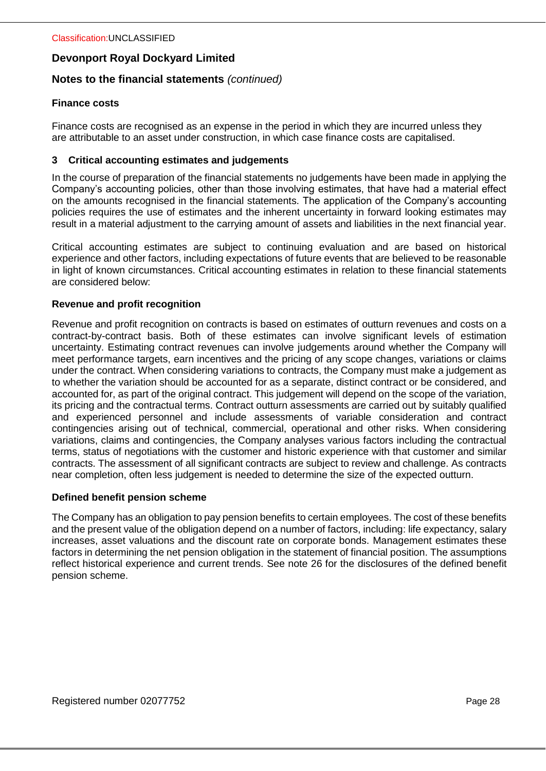## **Notes to the financial statements** *(continued)*

## **Finance costs**

Finance costs are recognised as an expense in the period in which they are incurred unless they are attributable to an asset under construction, in which case finance costs are capitalised.

## **3 Critical accounting estimates and judgements**

In the course of preparation of the financial statements no judgements have been made in applying the Company's accounting policies, other than those involving estimates, that have had a material effect on the amounts recognised in the financial statements. The application of the Company's accounting policies requires the use of estimates and the inherent uncertainty in forward looking estimates may result in a material adjustment to the carrying amount of assets and liabilities in the next financial year.

Critical accounting estimates are subject to continuing evaluation and are based on historical experience and other factors, including expectations of future events that are believed to be reasonable in light of known circumstances. Critical accounting estimates in relation to these financial statements are considered below:

## **Revenue and profit recognition**

Revenue and profit recognition on contracts is based on estimates of outturn revenues and costs on a contract-by-contract basis. Both of these estimates can involve significant levels of estimation uncertainty. Estimating contract revenues can involve judgements around whether the Company will meet performance targets, earn incentives and the pricing of any scope changes, variations or claims under the contract. When considering variations to contracts, the Company must make a judgement as to whether the variation should be accounted for as a separate, distinct contract or be considered, and accounted for, as part of the original contract. This judgement will depend on the scope of the variation, its pricing and the contractual terms. Contract outturn assessments are carried out by suitably qualified and experienced personnel and include assessments of variable consideration and contract contingencies arising out of technical, commercial, operational and other risks. When considering variations, claims and contingencies, the Company analyses various factors including the contractual terms, status of negotiations with the customer and historic experience with that customer and similar contracts. The assessment of all significant contracts are subject to review and challenge. As contracts near completion, often less judgement is needed to determine the size of the expected outturn.

#### **Defined benefit pension scheme**

The Company has an obligation to pay pension benefits to certain employees. The cost of these benefits and the present value of the obligation depend on a number of factors, including: life expectancy, salary increases, asset valuations and the discount rate on corporate bonds. Management estimates these factors in determining the net pension obligation in the statement of financial position. The assumptions reflect historical experience and current trends. See note 26 for the disclosures of the defined benefit pension scheme.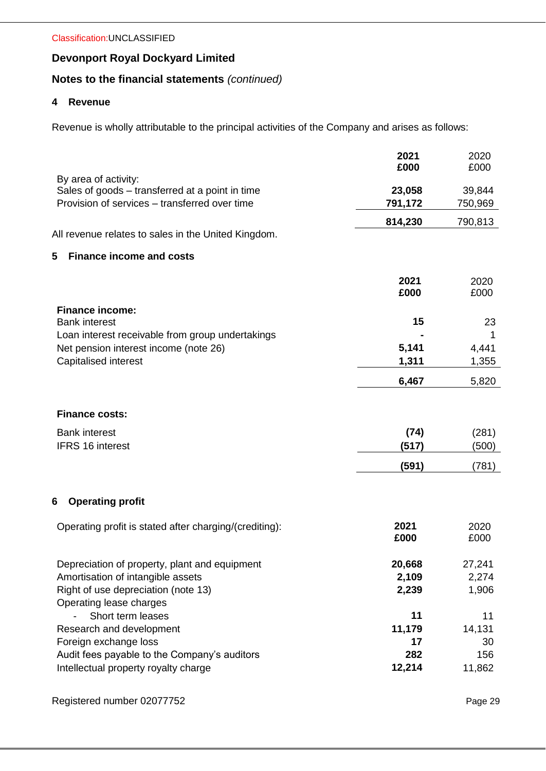# **Notes to the financial statements** *(continued)*

## **4 Revenue**

Revenue is wholly attributable to the principal activities of the Company and arises as follows:

|                                                                                                  | 2021<br>£000      | 2020<br>£000      |
|--------------------------------------------------------------------------------------------------|-------------------|-------------------|
| By area of activity:                                                                             |                   |                   |
| Sales of goods – transferred at a point in time<br>Provision of services - transferred over time | 23,058<br>791,172 | 39,844<br>750,969 |
|                                                                                                  | 814,230           |                   |
| All revenue relates to sales in the United Kingdom.                                              |                   | 790,813           |
| 5<br><b>Finance income and costs</b>                                                             |                   |                   |
|                                                                                                  | 2021              | 2020              |
|                                                                                                  | £000              | £000              |
| <b>Finance income:</b>                                                                           |                   |                   |
| <b>Bank interest</b><br>Loan interest receivable from group undertakings                         | 15                | 23                |
| Net pension interest income (note 26)                                                            | 5,141             | 4,441             |
| Capitalised interest                                                                             | 1,311             | 1,355             |
|                                                                                                  | 6,467             | 5,820             |
| <b>Finance costs:</b>                                                                            |                   |                   |
| <b>Bank interest</b>                                                                             | (74)              | (281)             |
| <b>IFRS 16 interest</b>                                                                          | (517)             | (500)             |
|                                                                                                  | (591)             | (781)             |
| <b>Operating profit</b><br>6                                                                     |                   |                   |
|                                                                                                  |                   |                   |
| Operating profit is stated after charging/(crediting):                                           | 2021              | 2020              |
|                                                                                                  | £000              | £000              |
| Depreciation of property, plant and equipment                                                    | 20,668            | 27,241            |
| Amortisation of intangible assets                                                                | 2,109             | 2,274             |
| Right of use depreciation (note 13)                                                              | 2,239             | 1,906             |
| Operating lease charges                                                                          |                   |                   |
| Short term leases                                                                                | 11                | 11                |
| Research and development<br>Foreign exchange loss                                                | 11,179<br>17      | 14,131<br>30      |
| Audit fees payable to the Company's auditors                                                     | 282               | 156               |
| Intellectual property royalty charge                                                             | 12,214            | 11,862            |
|                                                                                                  |                   |                   |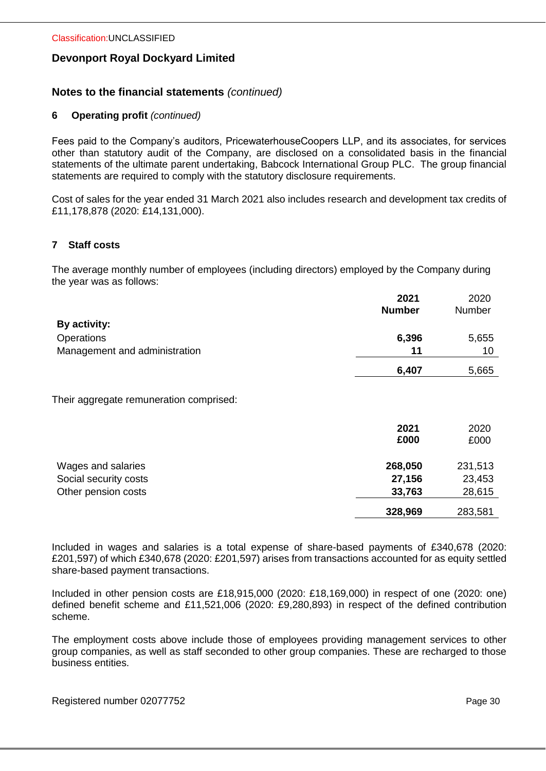## **Notes to the financial statements** *(continued)*

## **6 Operating profit** *(continued)*

Fees paid to the Company's auditors, PricewaterhouseCoopers LLP, and its associates, for services other than statutory audit of the Company, are disclosed on a consolidated basis in the financial statements of the ultimate parent undertaking, Babcock International Group PLC. The group financial statements are required to comply with the statutory disclosure requirements.

Cost of sales for the year ended 31 March 2021 also includes research and development tax credits of £11,178,878 (2020: £14,131,000).

## **7 Staff costs**

The average monthly number of employees (including directors) employed by the Company during the year was as follows:

|                               | 2021<br><b>Number</b> | 2020<br>Number |
|-------------------------------|-----------------------|----------------|
| By activity:                  |                       |                |
| Operations                    | 6,396                 | 5,655          |
| Management and administration | 11                    | 10             |
|                               | 6,407                 | 5,665          |

Their aggregate remuneration comprised:

|                                             | 2021<br>£000      | 2020<br>£000      |
|---------------------------------------------|-------------------|-------------------|
| Wages and salaries<br>Social security costs | 268,050<br>27,156 | 231,513<br>23,453 |
| Other pension costs                         | 33,763            | 28,615            |
|                                             | 328,969           | 283,581           |

Included in wages and salaries is a total expense of share-based payments of £340,678 (2020: £201,597) of which £340,678 (2020: £201,597) arises from transactions accounted for as equity settled share-based payment transactions.

Included in other pension costs are £18,915,000 (2020: £18,169,000) in respect of one (2020: one) defined benefit scheme and £11,521,006 (2020: £9,280,893) in respect of the defined contribution scheme.

The employment costs above include those of employees providing management services to other group companies, as well as staff seconded to other group companies. These are recharged to those business entities.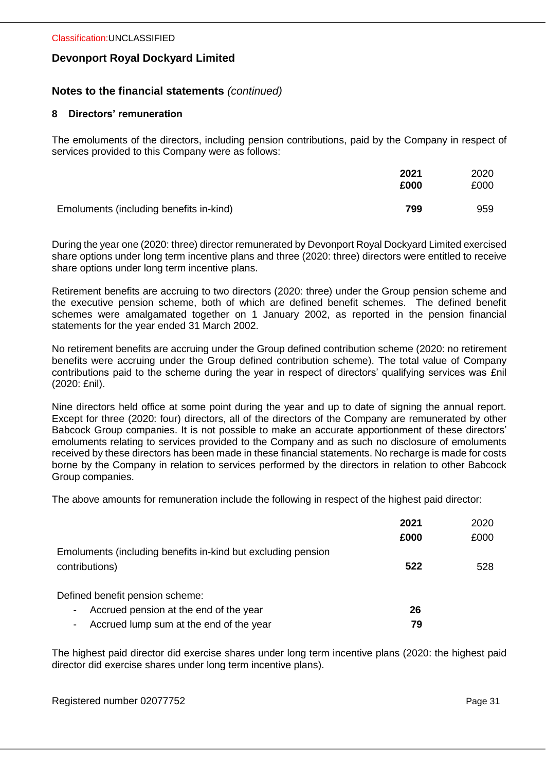## **Notes to the financial statements** *(continued)*

## **8 Directors' remuneration**

The emoluments of the directors, including pension contributions, paid by the Company in respect of services provided to this Company were as follows:

|                                         | 2021<br>£000 | 2020<br>£000 |
|-----------------------------------------|--------------|--------------|
| Emoluments (including benefits in-kind) | 799          | 959          |

During the year one (2020: three) director remunerated by Devonport Royal Dockyard Limited exercised share options under long term incentive plans and three (2020: three) directors were entitled to receive share options under long term incentive plans.

Retirement benefits are accruing to two directors (2020: three) under the Group pension scheme and the executive pension scheme, both of which are defined benefit schemes. The defined benefit schemes were amalgamated together on 1 January 2002, as reported in the pension financial statements for the year ended 31 March 2002.

No retirement benefits are accruing under the Group defined contribution scheme (2020: no retirement benefits were accruing under the Group defined contribution scheme). The total value of Company contributions paid to the scheme during the year in respect of directors' qualifying services was £nil (2020: £nil).

Nine directors held office at some point during the year and up to date of signing the annual report. Except for three (2020: four) directors, all of the directors of the Company are remunerated by other Babcock Group companies. It is not possible to make an accurate apportionment of these directors' emoluments relating to services provided to the Company and as such no disclosure of emoluments received by these directors has been made in these financial statements. No recharge is made for costs borne by the Company in relation to services performed by the directors in relation to other Babcock Group companies.

The above amounts for remuneration include the following in respect of the highest paid director:

|                                                                                | 2021<br>£000 | 2020<br>£000 |
|--------------------------------------------------------------------------------|--------------|--------------|
| Emoluments (including benefits in-kind but excluding pension<br>contributions) | 522          | 528          |
| Defined benefit pension scheme:                                                |              |              |
| Accrued pension at the end of the year<br>٠                                    | 26           |              |
| Accrued lump sum at the end of the year<br>-                                   | 79           |              |

The highest paid director did exercise shares under long term incentive plans (2020: the highest paid director did exercise shares under long term incentive plans).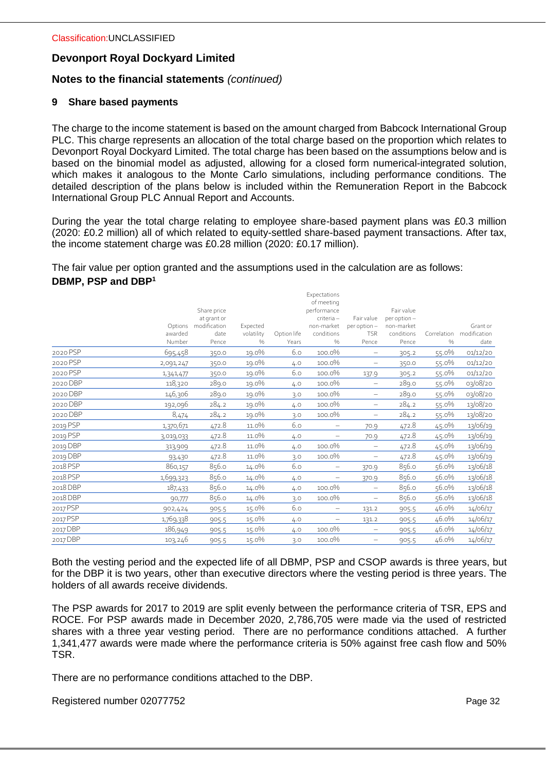# **Notes to the financial statements** *(continued)*

## **9 Share based payments**

The charge to the income statement is based on the amount charged from Babcock International Group PLC. This charge represents an allocation of the total charge based on the proportion which relates to Devonport Royal Dockyard Limited. The total charge has been based on the assumptions below and is based on the binomial model as adjusted, allowing for a closed form numerical-integrated solution, which makes it analogous to the Monte Carlo simulations, including performance conditions. The detailed description of the plans below is included within the Remuneration Report in the Babcock International Group PLC Annual Report and Accounts.

During the year the total charge relating to employee share-based payment plans was £0.3 million (2020: £0.2 million) all of which related to equity-settled share-based payment transactions. After tax, the income statement charge was £0.28 million (2020: £0.17 million).

The fair value per option granted and the assumptions used in the calculation are as follows: **DBMP, PSP and DBP<sup>1</sup>**

|          |                   |               |                    |                      | Expectations<br>of meeting  |                          |                     |                     |                      |
|----------|-------------------|---------------|--------------------|----------------------|-----------------------------|--------------------------|---------------------|---------------------|----------------------|
|          |                   | Share price   |                    |                      | performance                 |                          | Fair value          |                     |                      |
|          |                   | at grant or   |                    |                      | criteria -                  | Fair value               | per option-         |                     |                      |
|          | Options           | modification  | Expected           |                      | non-market                  | per option-              | non-market          |                     | Grant or             |
|          | awarded<br>Number | date<br>Pence | volatility<br>$\%$ | Option life<br>Years | conditions<br>$\frac{0}{0}$ | <b>TSR</b><br>Pence      | conditions<br>Pence | Correlation<br>$\%$ | modification<br>date |
| 2020 PSP | 695,458           | 350.0         | 19.0%              | 6.0                  | 100.0%                      | -                        | 305.2               | 55.0%               | 01/12/20             |
| 2020 PSP | 2,091,247         | 350.0         | 19.0%              | 4.0                  | 100.0%                      |                          | 350.0               | 55.0%               | 01/12/20             |
| 2020 PSP | 1,341,477         | 350.0         | 19.0%              | 6.0                  | 100.0%                      | 137.9                    | 305.2               | 55.0%               | 01/12/20             |
| 2020 DBP | 118,320           | 289.0         | 19.0%              | 4.0                  | 100.0%                      | $\qquad \qquad -$        | 289.0               | 55.0%               | 03/08/20             |
| 2020 DBP | 146,306           | 289.0         | 19.0%              | 3.0                  | 100.0%                      | $\overline{\phantom{m}}$ | 289.0               | 55.0%               | 03/08/20             |
| 2020 DBP | 192,096           | 284.2         | 19.0%              | 4.0                  | 100.0%                      | $\overline{\phantom{0}}$ | 284.2               | 55.0%               | 13/08/20             |
| 2020 DBP | 8,474             | 284.2         | 19.0%              | 3.0                  | 100.0%                      | $\overline{\phantom{m}}$ | 284.2               | 55.0%               | 13/08/20             |
| 2019 PSP | 1,370,671         | 472.8         | 11.0%              | 6.0                  | —                           | 70.9                     | 472.8               | 45.0%               | 13/06/19             |
| 2019 PSP | 3,019,033         | 472.8         | 11.0%              | 4.0                  |                             | 70.9                     | 472.8               | 45.0%               | 13/06/19             |
| 2019 DBP | 313,909           | 472.8         | 11.0%              | 4.0                  | 100.0%                      | $\qquad \qquad$          | 472.8               | 45.0%               | 13/06/19             |
| 2019 DBP | 93,430            | 472.8         | 11.0%              | 3.0                  | 100.0%                      |                          | 472.8               | 45.0%               | 13/06/19             |
| 2018 PSP | 860,157           | 856.0         | 14.0%              | 6.0                  |                             | 370.9                    | 856.0               | 56.0%               | 13/06/18             |
| 2018 PSP | 1,699,323         | 856.0         | 14.0%              | 4.0                  |                             | 370.9                    | 856.0               | 56.0%               | 13/06/18             |
| 2018 DBP | 187,433           | 856.0         | $14.0\%$           | 4.0                  | 100.0%                      |                          | 856.0               | 56.0%               | 13/06/18             |
| 2018 DBP | 90,777            | 856.0         | 14.0%              | 3.0                  | 100.0%                      |                          | 856.0               | 56.0%               | 13/06/18             |
| 2017 PSP | 902,424           | 905.5         | 15.0%              | 6.0                  | $\qquad \qquad -$           | 131.2                    | 905.5               | 46.0%               | 14/06/17             |
| 2017 PSP | 1,769,338         | 905.5         | 15.0%              | 4.0                  |                             | 131.2                    | 905.5               | 46.0%               | 14/06/17             |
| 2017 DBP | 186,949           | 905.5         | 15.0%              | 4.0                  | 100.0%                      | $\qquad \qquad -$        | 905.5               | 46.0%               | 14/06/17             |
| 2017 DBP | 103,246           | 905.5         | 15.0%              | 3.0                  | 100.0%                      | $\qquad \qquad -$        | 905.5               | 46.0%               | 14/06/17             |

Both the vesting period and the expected life of all DBMP, PSP and CSOP awards is three years, but for the DBP it is two years, other than executive directors where the vesting period is three years. The holders of all awards receive dividends.

The PSP awards for 2017 to 2019 are split evenly between the performance criteria of TSR, EPS and ROCE. For PSP awards made in December 2020, 2,786,705 were made via the used of restricted shares with a three year vesting period. There are no performance conditions attached. A further 1,341,477 awards were made where the performance criteria is 50% against free cash flow and 50% TSR.

There are no performance conditions attached to the DBP.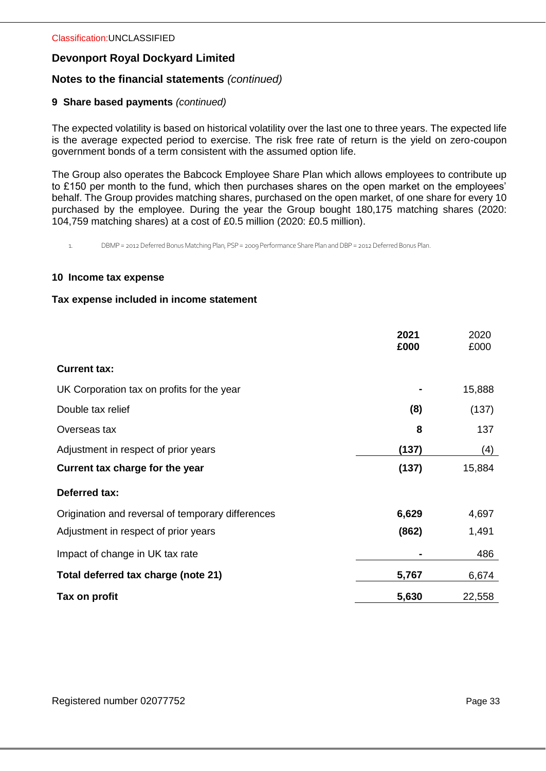# **Notes to the financial statements** *(continued)*

## **9 Share based payments** *(continued)*

The expected volatility is based on historical volatility over the last one to three years. The expected life is the average expected period to exercise. The risk free rate of return is the yield on zero-coupon government bonds of a term consistent with the assumed option life.

The Group also operates the Babcock Employee Share Plan which allows employees to contribute up to £150 per month to the fund, which then purchases shares on the open market on the employees' behalf. The Group provides matching shares, purchased on the open market, of one share for every 10 purchased by the employee. During the year the Group bought 180,175 matching shares (2020: 104,759 matching shares) at a cost of £0.5 million (2020: £0.5 million).

1. DBMP = 2012 Deferred Bonus Matching Plan, PSP= 2009 Performance Share Plan and DBP = 2012 Deferred Bonus Plan.

#### **10 Income tax expense**

#### **Tax expense included in income statement**

|                                                   | 2021<br>£000 | 2020<br>£000 |
|---------------------------------------------------|--------------|--------------|
| <b>Current tax:</b>                               |              |              |
| UK Corporation tax on profits for the year        |              | 15,888       |
| Double tax relief                                 | (8)          | (137)        |
| Overseas tax                                      | 8            | 137          |
| Adjustment in respect of prior years              | (137)        | (4)          |
| Current tax charge for the year                   | (137)        | 15,884       |
| <b>Deferred tax:</b>                              |              |              |
| Origination and reversal of temporary differences | 6,629        | 4,697        |
| Adjustment in respect of prior years              | (862)        | 1,491        |
| Impact of change in UK tax rate                   | ۰            | 486          |
| Total deferred tax charge (note 21)               | 5,767        | 6,674        |
| Tax on profit                                     | 5,630        | 22,558       |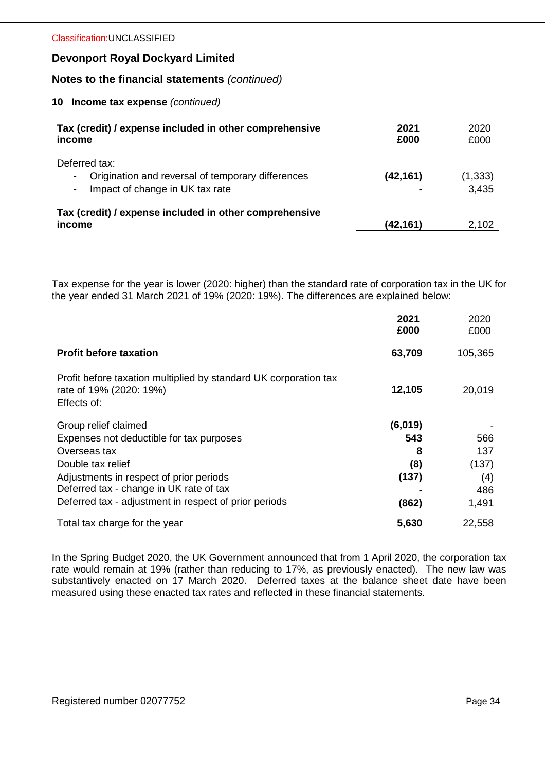## **Notes to the financial statements** *(continued)*

#### **10 Income tax expense** *(continued)*

| Tax (credit) / expense included in other comprehensive<br>income                     | 2021<br>£000 | 2020<br>£000 |
|--------------------------------------------------------------------------------------|--------------|--------------|
| Deferred tax:<br>Origination and reversal of temporary differences<br>$\blacksquare$ | (42, 161)    | (1, 333)     |
| Impact of change in UK tax rate<br>$\overline{\phantom{a}}$                          |              | 3,435        |
| Tax (credit) / expense included in other comprehensive<br>income                     | (42, 161)    | 2,102        |
|                                                                                      |              |              |

Tax expense for the year is lower (2020: higher) than the standard rate of corporation tax in the UK for the year ended 31 March 2021 of 19% (2020: 19%). The differences are explained below:

|                                                                                                                                                                                                                                                      | 2021<br>£000                                 | 2020<br>£000                               |
|------------------------------------------------------------------------------------------------------------------------------------------------------------------------------------------------------------------------------------------------------|----------------------------------------------|--------------------------------------------|
| <b>Profit before taxation</b>                                                                                                                                                                                                                        | 63,709                                       | 105,365                                    |
| Profit before taxation multiplied by standard UK corporation tax<br>rate of 19% (2020: 19%)<br>Effects of:                                                                                                                                           | 12,105                                       | 20,019                                     |
| Group relief claimed<br>Expenses not deductible for tax purposes<br>Overseas tax<br>Double tax relief<br>Adjustments in respect of prior periods<br>Deferred tax - change in UK rate of tax<br>Deferred tax - adjustment in respect of prior periods | (6,019)<br>543<br>8<br>(8)<br>(137)<br>(862) | 566<br>137<br>(137)<br>(4)<br>486<br>1,491 |
| Total tax charge for the year                                                                                                                                                                                                                        | 5,630                                        | 22,558                                     |

In the Spring Budget 2020, the UK Government announced that from 1 April 2020, the corporation tax rate would remain at 19% (rather than reducing to 17%, as previously enacted). The new law was substantively enacted on 17 March 2020. Deferred taxes at the balance sheet date have been measured using these enacted tax rates and reflected in these financial statements.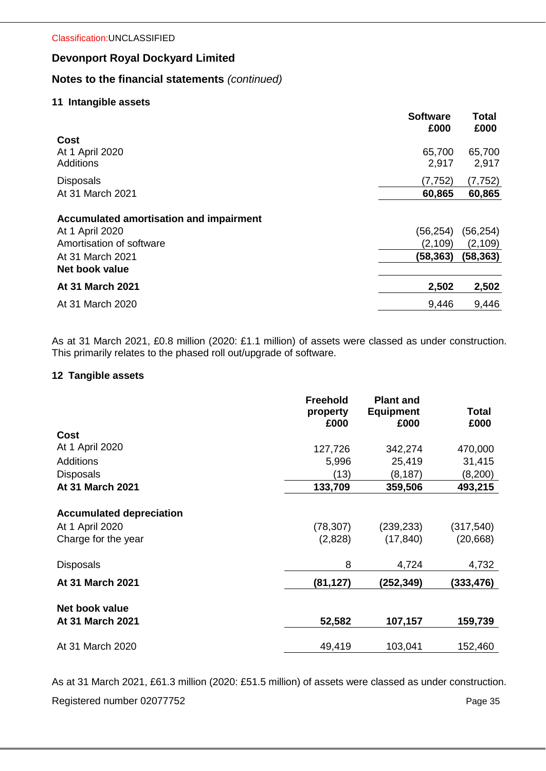# **Notes to the financial statements** *(continued)*

## **11 Intangible assets**

|                                         | <b>Software</b><br>£000 | Total<br>£000 |
|-----------------------------------------|-------------------------|---------------|
| Cost                                    |                         |               |
| At 1 April 2020                         | 65,700                  | 65,700        |
| <b>Additions</b>                        | 2,917                   | 2,917         |
| <b>Disposals</b>                        | (7, 752)                | (7, 752)      |
| At 31 March 2021                        | 60,865                  | 60,865        |
| Accumulated amortisation and impairment |                         |               |
| At 1 April 2020                         | (56, 254)               | (56, 254)     |
| Amortisation of software                | (2, 109)                | (2, 109)      |
| At 31 March 2021                        | (58,363)                | (58, 363)     |
| Net book value                          |                         |               |
| <b>At 31 March 2021</b>                 | 2,502                   | 2,502         |
| At 31 March 2020                        | 9,446                   | 9,446         |

As at 31 March 2021, £0.8 million (2020: £1.1 million) of assets were classed as under construction. This primarily relates to the phased roll out/upgrade of software.

## **12 Tangible assets**

|                                                                                               | <b>Freehold</b><br>property<br>£000 | <b>Plant and</b><br><b>Equipment</b><br>£000 | <b>Total</b><br>£000             |
|-----------------------------------------------------------------------------------------------|-------------------------------------|----------------------------------------------|----------------------------------|
| Cost                                                                                          |                                     |                                              |                                  |
| At 1 April 2020                                                                               | 127,726                             | 342,274                                      | 470,000                          |
| <b>Additions</b>                                                                              | 5,996                               | 25,419                                       | 31,415                           |
| <b>Disposals</b>                                                                              | (13)                                | (8, 187)                                     | (8,200)                          |
| At 31 March 2021                                                                              | 133,709                             | 359,506                                      | 493,215                          |
| <b>Accumulated depreciation</b><br>At 1 April 2020<br>Charge for the year<br><b>Disposals</b> | (78, 307)<br>(2,828)<br>8           | (239, 233)<br>(17, 840)<br>4,724             | (317, 540)<br>(20, 668)<br>4,732 |
| At 31 March 2021                                                                              | (81,127)                            | (252,349)                                    | (333,476)                        |
|                                                                                               |                                     |                                              |                                  |
| Net book value                                                                                |                                     |                                              |                                  |
| At 31 March 2021                                                                              | 52,582                              | 107,157                                      | 159,739                          |
| At 31 March 2020                                                                              | 49,419                              | 103,041                                      | 152,460                          |

As at 31 March 2021, £61.3 million (2020: £51.5 million) of assets were classed as under construction.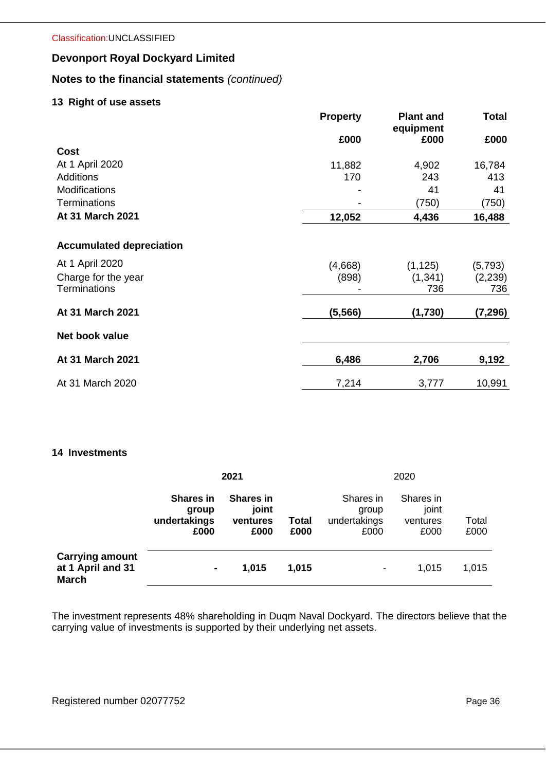# **Notes to the financial statements** *(continued)*

## **13 Right of use assets**

|                                 | <b>Property</b> | <b>Plant and</b><br>equipment | <b>Total</b> |
|---------------------------------|-----------------|-------------------------------|--------------|
|                                 | £000            | £000                          | £000         |
| <b>Cost</b>                     |                 |                               |              |
| At 1 April 2020                 | 11,882          | 4,902                         | 16,784       |
| <b>Additions</b>                | 170             | 243                           | 413          |
| <b>Modifications</b>            |                 | 41                            | 41           |
| <b>Terminations</b>             |                 | (750)                         | (750)        |
| At 31 March 2021                | 12,052          | 4,436                         | 16,488       |
| <b>Accumulated depreciation</b> |                 |                               |              |
| At 1 April 2020                 | (4,668)         | (1, 125)                      | (5,793)      |
| Charge for the year             | (898)           | (1, 341)                      | (2,239)      |
| <b>Terminations</b>             |                 | 736                           | 736          |
| At 31 March 2021                | (5, 566)        | (1,730)                       | (7, 296)     |
| Net book value                  |                 |                               |              |
| At 31 March 2021                | 6,486           | 2,706                         | 9,192        |
| At 31 March 2020                | 7,214           | 3,777                         | 10,991       |

## **14 Investments**

|                                                             | 2021                                              |                                               |               |                                            | 2020                                   |               |  |
|-------------------------------------------------------------|---------------------------------------------------|-----------------------------------------------|---------------|--------------------------------------------|----------------------------------------|---------------|--|
|                                                             | <b>Shares in</b><br>group<br>undertakings<br>£000 | <b>Shares in</b><br>joint<br>ventures<br>£000 | Total<br>£000 | Shares in<br>group<br>undertakings<br>£000 | Shares in<br>joint<br>ventures<br>£000 | Total<br>£000 |  |
| <b>Carrying amount</b><br>at 1 April and 31<br><b>March</b> | $\blacksquare$                                    | 1,015                                         | 1,015         | $\blacksquare$                             | 1,015                                  | 1,015         |  |

The investment represents 48% shareholding in Duqm Naval Dockyard. The directors believe that the carrying value of investments is supported by their underlying net assets.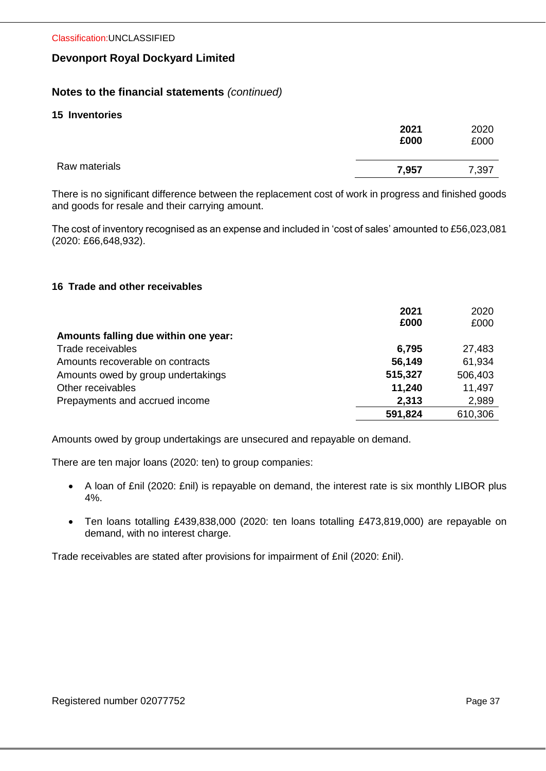# **Notes to the financial statements** *(continued)*

## **15 Inventories**

|               | 2021<br>£000 | 2020<br>£000 |
|---------------|--------------|--------------|
| Raw materials | 7,957        | 7,397        |

There is no significant difference between the replacement cost of work in progress and finished goods and goods for resale and their carrying amount.

The cost of inventory recognised as an expense and included in 'cost of sales' amounted to £56,023,081 (2020: £66,648,932).

## **16 Trade and other receivables**

| Amounts falling due within one year: | 2021<br>£000 | 2020<br>£000 |
|--------------------------------------|--------------|--------------|
| Trade receivables                    |              |              |
|                                      | 6,795        | 27,483       |
| Amounts recoverable on contracts     | 56,149       | 61,934       |
| Amounts owed by group undertakings   | 515,327      | 506,403      |
| Other receivables                    | 11,240       | 11,497       |
| Prepayments and accrued income       | 2,313        | 2,989        |
|                                      | 591,824      | 610,306      |

Amounts owed by group undertakings are unsecured and repayable on demand.

There are ten major loans (2020: ten) to group companies:

- A loan of £nil (2020: £nil) is repayable on demand, the interest rate is six monthly LIBOR plus 4%.
- Ten loans totalling £439,838,000 (2020: ten loans totalling £473,819,000) are repayable on demand, with no interest charge.

Trade receivables are stated after provisions for impairment of £nil (2020: £nil).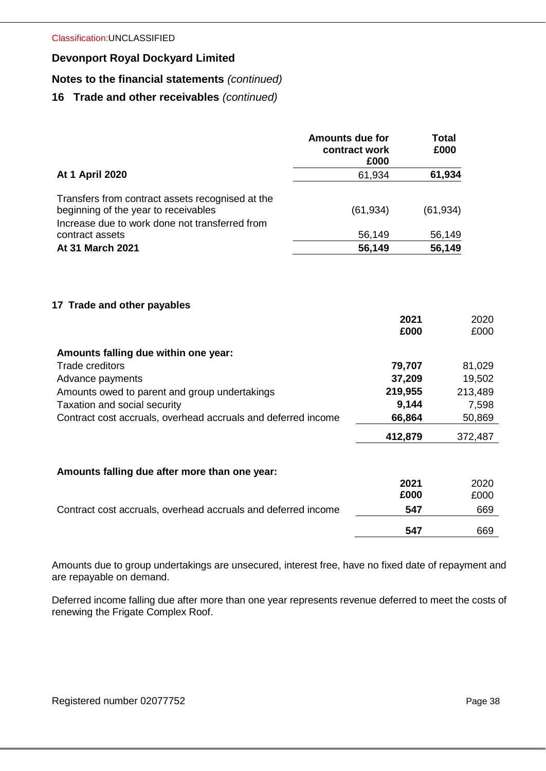# **Notes to the financial statements** *(continued)*

# **16 Trade and other receivables** *(continued)*

|                                                                                                                                                                                                                                                                     | <b>Amounts due for</b><br>contract work<br>£000 | <b>Total</b><br>£000                                |                                                                |
|---------------------------------------------------------------------------------------------------------------------------------------------------------------------------------------------------------------------------------------------------------------------|-------------------------------------------------|-----------------------------------------------------|----------------------------------------------------------------|
| <b>At 1 April 2020</b>                                                                                                                                                                                                                                              | 61,934                                          | 61,934                                              |                                                                |
| Transfers from contract assets recognised at the<br>beginning of the year to receivables<br>Increase due to work done not transferred from                                                                                                                          | (61, 934)                                       | (61, 934)                                           |                                                                |
| contract assets                                                                                                                                                                                                                                                     | 56,149                                          | 56,149                                              |                                                                |
| At 31 March 2021                                                                                                                                                                                                                                                    | 56,149                                          | 56,149                                              |                                                                |
| 17 Trade and other payables<br>Amounts falling due within one year:<br><b>Trade creditors</b><br>Advance payments<br>Amounts owed to parent and group undertakings<br>Taxation and social security<br>Contract cost accruals, overhead accruals and deferred income | 219,955                                         | 2021<br>£000<br>79,707<br>37,209<br>9,144<br>66,864 | 2020<br>£000<br>81,029<br>19,502<br>213,489<br>7,598<br>50,869 |
|                                                                                                                                                                                                                                                                     | 412,879                                         |                                                     | 372,487                                                        |
| Amounts falling due after more than one year:                                                                                                                                                                                                                       |                                                 |                                                     |                                                                |
|                                                                                                                                                                                                                                                                     |                                                 | 2021                                                | 2020                                                           |
|                                                                                                                                                                                                                                                                     |                                                 | £000                                                | £000                                                           |
| Contract cost accruals, overhead accruals and deferred income                                                                                                                                                                                                       |                                                 | 547                                                 | 669                                                            |
|                                                                                                                                                                                                                                                                     |                                                 | 547                                                 | 669                                                            |

Amounts due to group undertakings are unsecured, interest free, have no fixed date of repayment and are repayable on demand.

Deferred income falling due after more than one year represents revenue deferred to meet the costs of renewing the Frigate Complex Roof.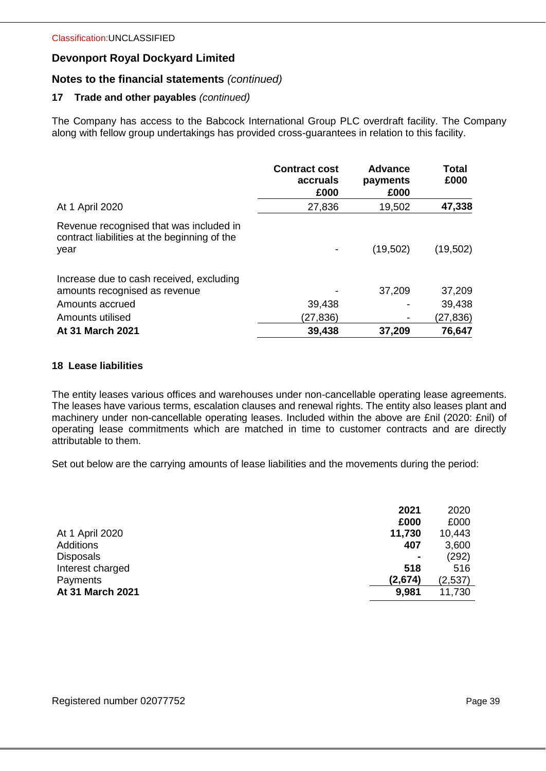## **Notes to the financial statements** *(continued)*

## **17 Trade and other payables** *(continued)*

The Company has access to the Babcock International Group PLC overdraft facility. The Company along with fellow group undertakings has provided cross-guarantees in relation to this facility.

|                                                                                                 | <b>Contract cost</b><br>accruals<br>£000 | <b>Advance</b><br>payments<br>£000 | Total<br>£000    |
|-------------------------------------------------------------------------------------------------|------------------------------------------|------------------------------------|------------------|
| At 1 April 2020                                                                                 | 27,836                                   | 19,502                             | 47,338           |
| Revenue recognised that was included in<br>contract liabilities at the beginning of the<br>year |                                          | (19,502)                           | (19, 502)        |
| Increase due to cash received, excluding<br>amounts recognised as revenue<br>Amounts accrued    | 39,438                                   | 37,209                             | 37,209<br>39,438 |
| Amounts utilised                                                                                | (27,836)                                 |                                    | (27,836)         |
| <b>At 31 March 2021</b>                                                                         | 39,438                                   | 37,209                             | 76,647           |

## **18 Lease liabilities**

The entity leases various offices and warehouses under non-cancellable operating lease agreements. The leases have various terms, escalation clauses and renewal rights. The entity also leases plant and machinery under non-cancellable operating leases. Included within the above are £nil (2020: £nil) of operating lease commitments which are matched in time to customer contracts and are directly attributable to them.

Set out below are the carrying amounts of lease liabilities and the movements during the period:

|                  | 2021           | 2020    |
|------------------|----------------|---------|
|                  | £000           | £000    |
| At 1 April 2020  | 11,730         | 10,443  |
| Additions        | 407            | 3,600   |
| <b>Disposals</b> | $\blacksquare$ | (292)   |
| Interest charged | 518            | 516     |
| Payments         | (2,674)        | (2,537) |
| At 31 March 2021 | 9,981          | 11,730  |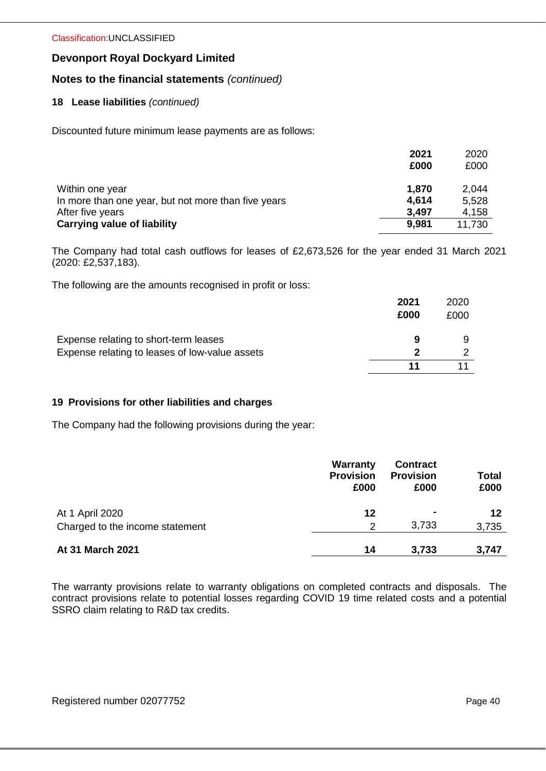Classification:UNCLASSIFIED

## **Devonport Royal Dockyard Limited**

# **Notes to the financial statements** *(continued)*

## **18 Lease liabilities** *(continued)*

Discounted future minimum lease payments are as follows:

|                                                     | 2021  | 2020   |
|-----------------------------------------------------|-------|--------|
|                                                     | £000  | £000   |
| Within one year                                     | 1.870 | 2,044  |
| In more than one year, but not more than five years | 4.614 | 5,528  |
| After five years                                    | 3,497 | 4,158  |
| <b>Carrying value of liability</b>                  | 9,981 | 11,730 |

The Company had total cash outflows for leases of £2,673,526 for the year ended 31 March 2021 (2020: £2,537,183).

The following are the amounts recognised in profit or loss:

|                                                | 2021<br>£000 | 2020<br>£000 |
|------------------------------------------------|--------------|--------------|
| Expense relating to short-term leases          | 9            | a            |
| Expense relating to leases of low-value assets | כי           |              |
|                                                |              |              |

#### **19 Provisions for other liabilities and charges**

The Company had the following provisions during the year:

|                                 | Warranty<br><b>Provision</b><br>£000 | <b>Contract</b><br><b>Provision</b><br>£000 | Total<br>£000 |
|---------------------------------|--------------------------------------|---------------------------------------------|---------------|
| At 1 April 2020                 | 12                                   | ۰                                           | 12            |
| Charged to the income statement | 2                                    | 3,733                                       | 3,735         |
| At 31 March 2021                | 14                                   | 3,733                                       | 3,747         |

The warranty provisions relate to warranty obligations on completed contracts and disposals. The contract provisions relate to potential losses regarding COVID 19 time related costs and a potential SSRO claim relating to R&D tax credits.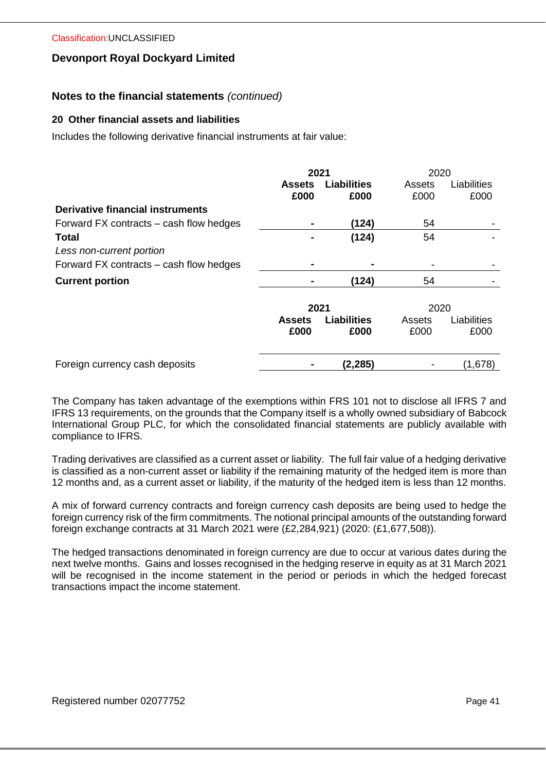## **Notes to the financial statements** *(continued)*

#### **20 Other financial assets and liabilities**

Includes the following derivative financial instruments at fair value:

|                                         | 2021          |                    | 2020   |             |
|-----------------------------------------|---------------|--------------------|--------|-------------|
|                                         | <b>Assets</b> | <b>Liabilities</b> | Assets | Liabilities |
|                                         | £000          | £000               | £000   | £000        |
| Derivative financial instruments        |               |                    |        |             |
| Forward FX contracts – cash flow hedges | ۰             | (124)              | 54     |             |
| Total                                   |               | (124)              | 54     |             |
| Less non-current portion                |               |                    |        |             |
| Forward FX contracts – cash flow hedges | ۰             |                    |        |             |
| <b>Current portion</b>                  |               | (124)              | 54     |             |
|                                         |               |                    |        |             |
|                                         | 2021          |                    | 2020   |             |
|                                         | <b>Assets</b> | <b>Liabilities</b> | Assets | Liabilities |
|                                         | £000          | £000               | £000   | £000        |
|                                         |               |                    |        |             |
| Foreign currency cash deposits          |               | (2,285)            |        | (1,678)     |

The Company has taken advantage of the exemptions within FRS 101 not to disclose all IFRS 7 and IFRS 13 requirements, on the grounds that the Company itself is a wholly owned subsidiary of Babcock International Group PLC, for which the consolidated financial statements are publicly available with compliance to IFRS.

Trading derivatives are classified as a current asset or liability. The full fair value of a hedging derivative is classified as a non-current asset or liability if the remaining maturity of the hedged item is more than 12 months and, as a current asset or liability, if the maturity of the hedged item is less than 12 months.

A mix of forward currency contracts and foreign currency cash deposits are being used to hedge the foreign currency risk of the firm commitments. The notional principal amounts of the outstanding forward foreign exchange contracts at 31 March 2021 were (£2,284,921) (2020: (£1,677,508)).

The hedged transactions denominated in foreign currency are due to occur at various dates during the next twelve months. Gains and losses recognised in the hedging reserve in equity as at 31 March 2021 will be recognised in the income statement in the period or periods in which the hedged forecast transactions impact the income statement.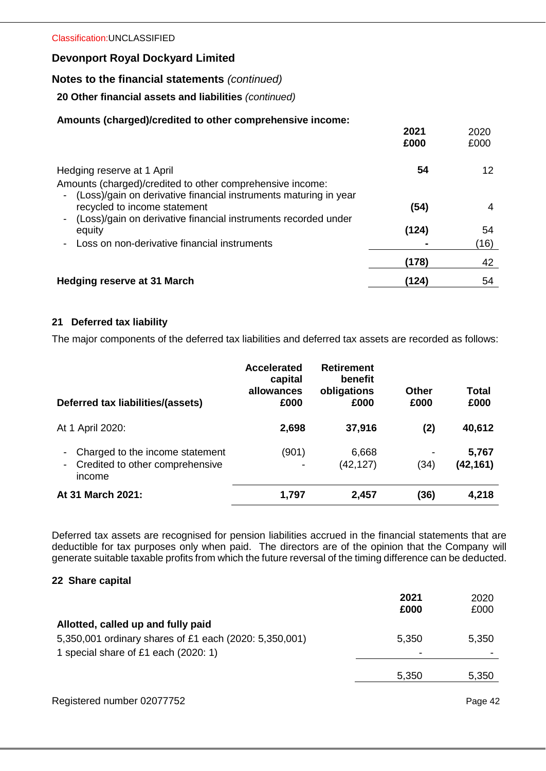# **Notes to the financial statements** *(continued)*

## **20 Other financial assets and liabilities** *(continued)*

## **Amounts (charged)/credited to other comprehensive income:**

|                                                                                                       | 2021<br>£000 | 2020<br>£000 |
|-------------------------------------------------------------------------------------------------------|--------------|--------------|
| Hedging reserve at 1 April                                                                            | 54           | 12           |
| Amounts (charged)/credited to other comprehensive income:                                             |              |              |
| (Loss)/gain on derivative financial instruments maturing in year<br>-<br>recycled to income statement | (54)         | 4            |
| (Loss)/gain on derivative financial instruments recorded under                                        |              |              |
| equity                                                                                                | (124)        | 54           |
| Loss on non-derivative financial instruments                                                          |              | (16)         |
|                                                                                                       | (178)        | 42           |
| <b>Hedging reserve at 31 March</b>                                                                    | (124)        | 54           |

## **21 Deferred tax liability**

The major components of the deferred tax liabilities and deferred tax assets are recorded as follows:

| Deferred tax liabilities/(assets)                                                                                          | <b>Accelerated</b><br>capital<br>allowances<br>£000 | <b>Retirement</b><br>benefit<br>obligations<br>£000 | Other<br>£000 | Total<br>£000      |
|----------------------------------------------------------------------------------------------------------------------------|-----------------------------------------------------|-----------------------------------------------------|---------------|--------------------|
| At 1 April 2020:                                                                                                           | 2,698                                               | 37,916                                              | (2)           | 40,612             |
| Charged to the income statement<br>$\overline{\phantom{a}}$<br>Credited to other comprehensive<br>$\blacksquare$<br>income | (901)                                               | 6,668<br>(42, 127)                                  | (34)          | 5,767<br>(42, 161) |
| At 31 March 2021:                                                                                                          | 1,797                                               | 2,457                                               | (36)          | 4,218              |

Deferred tax assets are recognised for pension liabilities accrued in the financial statements that are deductible for tax purposes only when paid. The directors are of the opinion that the Company will generate suitable taxable profits from which the future reversal of the timing difference can be deducted.

## **22 Share capital**

|                                                        | 2021<br>£000 | 2020<br>£000 |
|--------------------------------------------------------|--------------|--------------|
| Allotted, called up and fully paid                     |              |              |
| 5,350,001 ordinary shares of £1 each (2020: 5,350,001) | 5,350        | 5,350        |
| 1 special share of £1 each (2020: 1)                   | ۰            |              |
|                                                        | 5,350        | 5,350        |
|                                                        |              |              |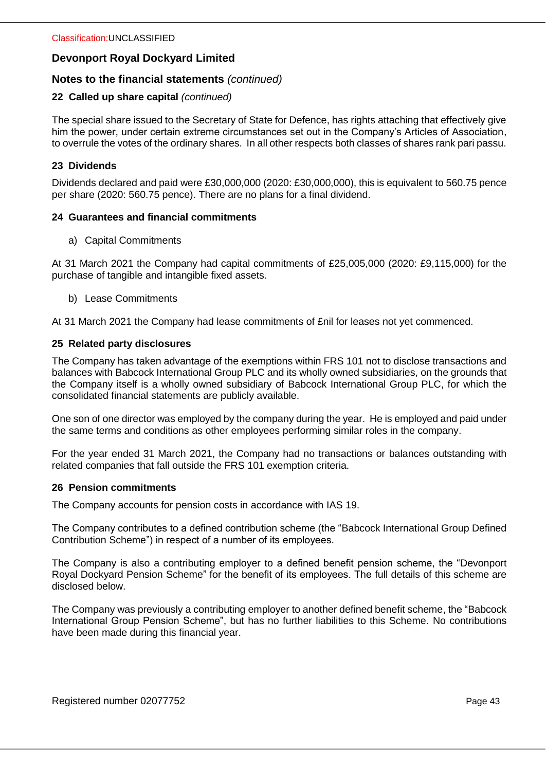# **Notes to the financial statements** *(continued)*

## **22 Called up share capital** *(continued)*

The special share issued to the Secretary of State for Defence, has rights attaching that effectively give him the power, under certain extreme circumstances set out in the Company's Articles of Association, to overrule the votes of the ordinary shares. In all other respects both classes of shares rank pari passu.

## **23 Dividends**

Dividends declared and paid were £30,000,000 (2020: £30,000,000), this is equivalent to 560.75 pence per share (2020: 560.75 pence). There are no plans for a final dividend.

## **24 Guarantees and financial commitments**

a) Capital Commitments

At 31 March 2021 the Company had capital commitments of £25,005,000 (2020: £9,115,000) for the purchase of tangible and intangible fixed assets.

b) Lease Commitments

At 31 March 2021 the Company had lease commitments of £nil for leases not yet commenced.

## **25 Related party disclosures**

The Company has taken advantage of the exemptions within FRS 101 not to disclose transactions and balances with Babcock International Group PLC and its wholly owned subsidiaries, on the grounds that the Company itself is a wholly owned subsidiary of Babcock International Group PLC, for which the consolidated financial statements are publicly available.

One son of one director was employed by the company during the year. He is employed and paid under the same terms and conditions as other employees performing similar roles in the company.

For the year ended 31 March 2021, the Company had no transactions or balances outstanding with related companies that fall outside the FRS 101 exemption criteria.

#### **26 Pension commitments**

The Company accounts for pension costs in accordance with IAS 19.

The Company contributes to a defined contribution scheme (the "Babcock International Group Defined Contribution Scheme") in respect of a number of its employees.

The Company is also a contributing employer to a defined benefit pension scheme, the "Devonport Royal Dockyard Pension Scheme" for the benefit of its employees. The full details of this scheme are disclosed below.

The Company was previously a contributing employer to another defined benefit scheme, the "Babcock International Group Pension Scheme", but has no further liabilities to this Scheme. No contributions have been made during this financial year.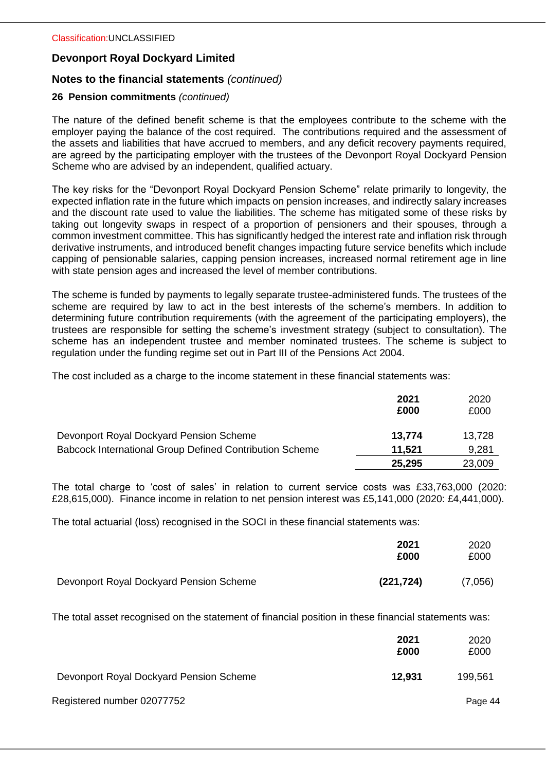# **Notes to the financial statements** *(continued)*

## **26 Pension commitments** *(continued)*

The nature of the defined benefit scheme is that the employees contribute to the scheme with the employer paying the balance of the cost required. The contributions required and the assessment of the assets and liabilities that have accrued to members, and any deficit recovery payments required, are agreed by the participating employer with the trustees of the Devonport Royal Dockyard Pension Scheme who are advised by an independent, qualified actuary.

The key risks for the "Devonport Royal Dockyard Pension Scheme" relate primarily to longevity, the expected inflation rate in the future which impacts on pension increases, and indirectly salary increases and the discount rate used to value the liabilities. The scheme has mitigated some of these risks by taking out longevity swaps in respect of a proportion of pensioners and their spouses, through a common investment committee. This has significantly hedged the interest rate and inflation risk through derivative instruments, and introduced benefit changes impacting future service benefits which include capping of pensionable salaries, capping pension increases, increased normal retirement age in line with state pension ages and increased the level of member contributions.

The scheme is funded by payments to legally separate trustee-administered funds. The trustees of the scheme are required by law to act in the best interests of the scheme's members. In addition to determining future contribution requirements (with the agreement of the participating employers), the trustees are responsible for setting the scheme's investment strategy (subject to consultation). The scheme has an independent trustee and member nominated trustees. The scheme is subject to regulation under the funding regime set out in Part III of the Pensions Act 2004.

The cost included as a charge to the income statement in these financial statements was:

|                                                                | 2021<br>£000 | 2020<br>£000 |
|----------------------------------------------------------------|--------------|--------------|
| Devonport Royal Dockyard Pension Scheme                        | 13,774       | 13,728       |
| <b>Babcock International Group Defined Contribution Scheme</b> | 11.521       | 9,281        |
|                                                                | 25,295       | 23,009       |

The total charge to 'cost of sales' in relation to current service costs was £33,763,000 (2020: £28,615,000). Finance income in relation to net pension interest was £5,141,000 (2020: £4,441,000).

The total actuarial (loss) recognised in the SOCI in these financial statements was:

|                                         | 2021<br>£000 | 2020<br>£000 |
|-----------------------------------------|--------------|--------------|
| Devonport Royal Dockyard Pension Scheme | (221, 724)   | (7,056)      |

The total asset recognised on the statement of financial position in these financial statements was:

|                                         | 2021<br>£000 | 2020<br>£000 |
|-----------------------------------------|--------------|--------------|
| Devonport Royal Dockyard Pension Scheme | 12.931       | 199,561      |
| Registered number 02077752              |              | Page 44      |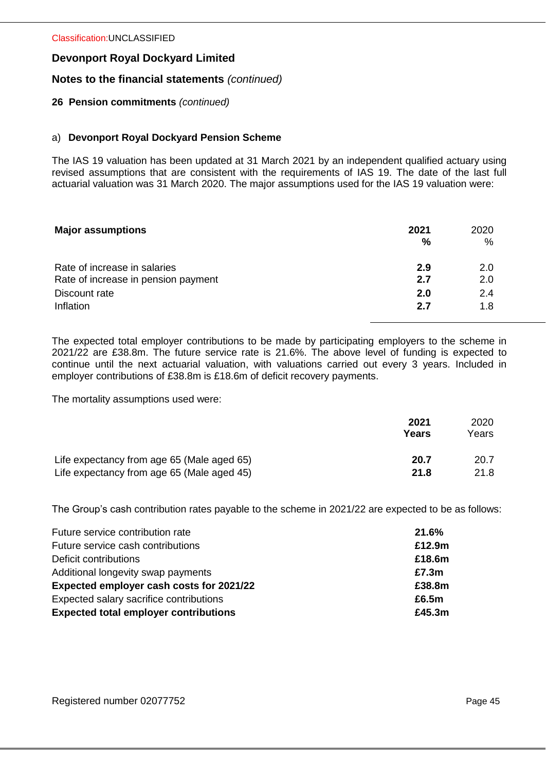## **Notes to the financial statements** *(continued)*

## **26 Pension commitments** *(continued)*

## a) **Devonport Royal Dockyard Pension Scheme**

The IAS 19 valuation has been updated at 31 March 2021 by an independent qualified actuary using revised assumptions that are consistent with the requirements of IAS 19. The date of the last full actuarial valuation was 31 March 2020. The major assumptions used for the IAS 19 valuation were:

| <b>Major assumptions</b>            | 2021<br>% | 2020<br>$\%$ |
|-------------------------------------|-----------|--------------|
| Rate of increase in salaries        | 2.9       | 2.0          |
| Rate of increase in pension payment | 2.7       | 2.0          |
| Discount rate                       | 2.0       | 2.4          |
| Inflation                           | 2.7       | 1.8          |

The expected total employer contributions to be made by participating employers to the scheme in 2021/22 are £38.8m. The future service rate is 21.6%. The above level of funding is expected to continue until the next actuarial valuation, with valuations carried out every 3 years. Included in employer contributions of £38.8m is £18.6m of deficit recovery payments.

The mortality assumptions used were:

|                                            | 2021<br>Years | 2020<br>Years |
|--------------------------------------------|---------------|---------------|
| Life expectancy from age 65 (Male aged 65) | 20.7          | 20.7          |
| Life expectancy from age 65 (Male aged 45) | 21.8          | 21.8          |

The Group's cash contribution rates payable to the scheme in 2021/22 are expected to be as follows:

| Future service contribution rate             | 21.6%  |
|----------------------------------------------|--------|
| Future service cash contributions            | £12.9m |
| Deficit contributions                        | £18.6m |
| Additional longevity swap payments           | £7.3m  |
| Expected employer cash costs for 2021/22     | £38.8m |
| Expected salary sacrifice contributions      | £6.5m  |
| <b>Expected total employer contributions</b> | £45.3m |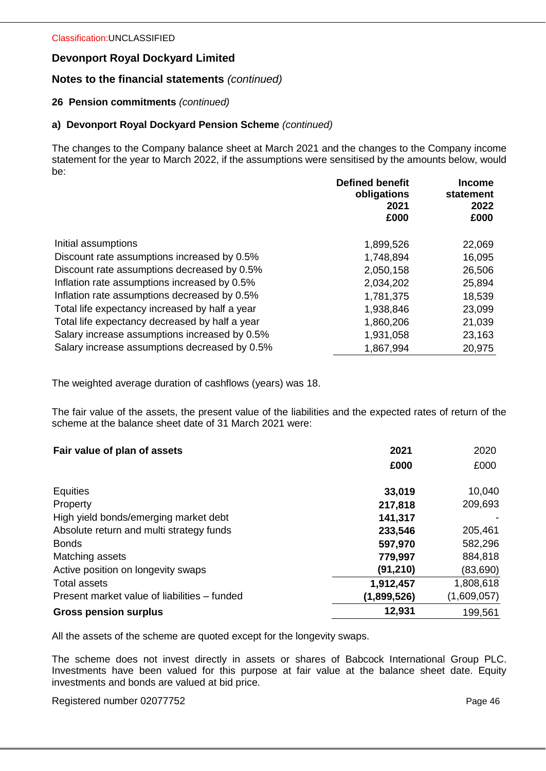# **Notes to the financial statements** *(continued)*

## **26 Pension commitments** *(continued)*

## **a) Devonport Royal Dockyard Pension Scheme** *(continued)*

The changes to the Company balance sheet at March 2021 and the changes to the Company income statement for the year to March 2022, if the assumptions were sensitised by the amounts below, would be:

|                                                | <b>Defined benefit</b><br>obligations<br>2021<br>£000 | <b>Income</b><br>statement<br>2022<br>£000 |
|------------------------------------------------|-------------------------------------------------------|--------------------------------------------|
| Initial assumptions                            | 1,899,526                                             | 22,069                                     |
| Discount rate assumptions increased by 0.5%    | 1,748,894                                             | 16,095                                     |
| Discount rate assumptions decreased by 0.5%    | 2,050,158                                             | 26,506                                     |
| Inflation rate assumptions increased by 0.5%   | 2,034,202                                             | 25,894                                     |
| Inflation rate assumptions decreased by 0.5%   | 1,781,375                                             | 18,539                                     |
| Total life expectancy increased by half a year | 1,938,846                                             | 23,099                                     |
| Total life expectancy decreased by half a year | 1,860,206                                             | 21,039                                     |
| Salary increase assumptions increased by 0.5%  | 1,931,058                                             | 23,163                                     |
| Salary increase assumptions decreased by 0.5%  | 1,867,994                                             | 20,975                                     |

The weighted average duration of cashflows (years) was 18.

The fair value of the assets, the present value of the liabilities and the expected rates of return of the scheme at the balance sheet date of 31 March 2021 were:

| Fair value of plan of assets                 | 2021        | 2020        |
|----------------------------------------------|-------------|-------------|
|                                              | £000        | £000        |
| <b>Equities</b>                              | 33,019      | 10,040      |
| Property                                     | 217,818     | 209,693     |
| High yield bonds/emerging market debt        | 141,317     |             |
| Absolute return and multi strategy funds     | 233,546     | 205,461     |
| <b>Bonds</b>                                 | 597,970     | 582,296     |
| Matching assets                              | 779,997     | 884,818     |
| Active position on longevity swaps           | (91, 210)   | (83,690)    |
| Total assets                                 | 1,912,457   | 1,808,618   |
| Present market value of liabilities – funded | (1,899,526) | (1,609,057) |
| <b>Gross pension surplus</b>                 | 12,931      | 199,561     |

All the assets of the scheme are quoted except for the longevity swaps.

The scheme does not invest directly in assets or shares of Babcock International Group PLC. Investments have been valued for this purpose at fair value at the balance sheet date. Equity investments and bonds are valued at bid price.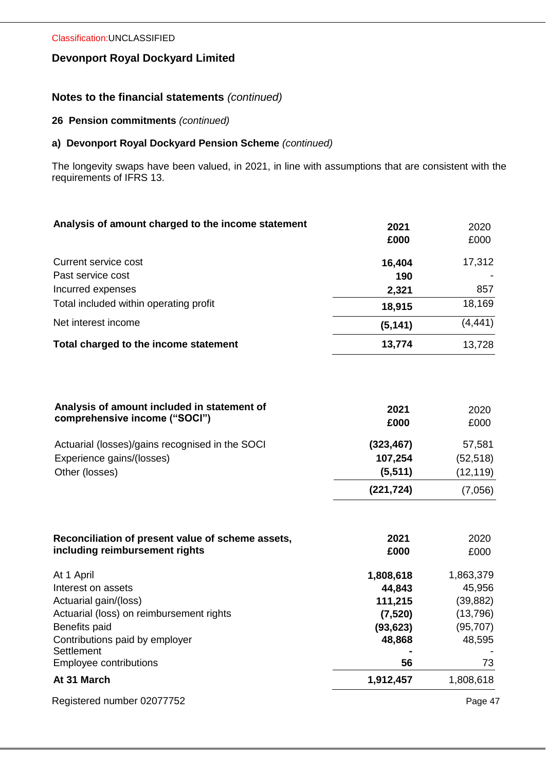# **Notes to the financial statements** *(continued)*

## **26 Pension commitments** *(continued)*

## **a) Devonport Royal Dockyard Pension Scheme** *(continued)*

The longevity swaps have been valued, in 2021, in line with assumptions that are consistent with the requirements of IFRS 13.

| Analysis of amount charged to the income statement | 2021     | 2020     |
|----------------------------------------------------|----------|----------|
|                                                    | £000     | £000     |
| Current service cost                               | 16,404   | 17,312   |
| Past service cost                                  | 190      |          |
| Incurred expenses                                  | 2,321    | 857      |
| Total included within operating profit             | 18,915   | 18,169   |
| Net interest income                                | (5, 141) | (4, 441) |
| Total charged to the income statement              | 13,774   | 13,728   |
|                                                    |          |          |
|                                                    |          |          |
|                                                    |          |          |

| Analysis of amount included in statement of     | 2021       | 2020      |
|-------------------------------------------------|------------|-----------|
| comprehensive income ("SOCI")                   | £000       | £000      |
| Actuarial (losses)/gains recognised in the SOCI | (323, 467) | 57,581    |
| Experience gains/(losses)                       | 107,254    | (52, 518) |
| Other (losses)                                  | (5, 511)   | (12, 119) |
|                                                 | (221, 724) | (7,056)   |

| 2021<br>£000 | 2020<br>£000 |
|--------------|--------------|
| 1,808,618    | 1,863,379    |
| 44,843       | 45,956       |
| 111,215      | (39, 882)    |
| (7,520)      | (13,796)     |
| (93,623)     | (95, 707)    |
| 48,868       | 48,595       |
|              |              |
| 56           | 73           |
| 1,912,457    | 1,808,618    |
|              |              |